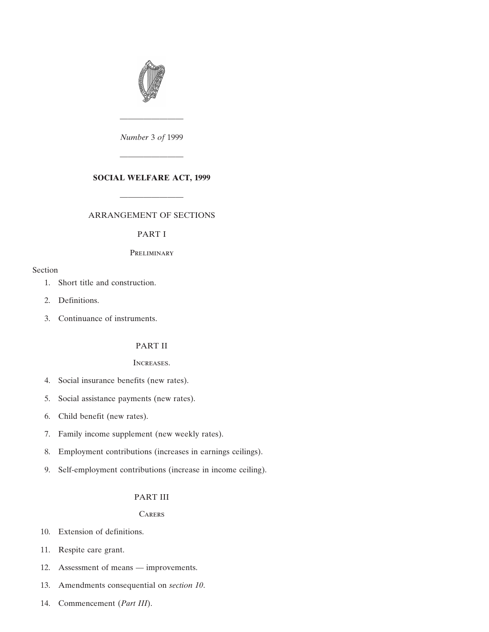

*Number* 3 *of* 1999

————————

# **SOCIAL WELFARE ACT, 1999**

————————

# ARRANGEMENT OF SECTIONS

————————

## PART I

### **PRELIMINARY**

## Section

- [1. Short title and construction.](#page-4-0)
- [2. Definitions.](#page-4-0)
- [3. Continuance of instruments.](#page-4-0)

### PART II

### Increases.

- [4. Social insurance benefits \(new rates\).](#page-5-0)
- [5. Social assistance payments \(new rates\).](#page-5-0)
- [6. Child benefit \(new rates\).](#page-6-0)
- [7. Family income supplement \(new weekly rates\).](#page-6-0)
- [8. Employment contributions \(increases in earnings ceilings\).](#page-6-0)
- [9. Self-employment contributions \(increase in income ceiling\).](#page-7-0)

# PART III

# **CARERS**

- [10. Extension of definitions.](#page-7-0)
- [11. Respite care grant.](#page-8-0)
- [12. Assessment of means improvements.](#page-8-0)
- [13. Amendments consequential on](#page-9-0) *section 10*.
- [14. Commencement \(](#page-9-0)*Part III*).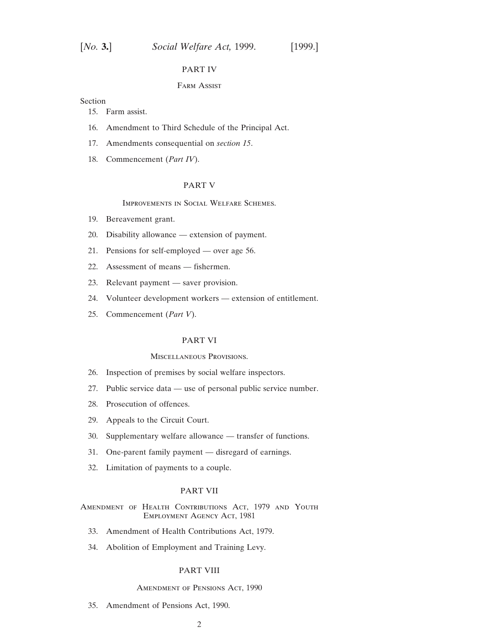#### PART IV

### Farm Assist

Section

- [15. Farm assist.](#page-9-0)
- [16. Amendment to Third Schedule of the Principal Act.](#page-13-0)
- [17. Amendments consequential on](#page-16-0) *section 15*.
- [18. Commencement \(](#page-17-0)*Part IV*).

#### PART V

Improvements in Social Welfare Schemes.

- [19. Bereavement grant.](#page-17-0)
- [20. Disability allowance extension of payment.](#page-21-0)
- [21. Pensions for self-employed over age 56.](#page-21-0)
- [22. Assessment of means fishermen.](#page-22-0)
- [23. Relevant payment saver provision.](#page-24-0)
- [24. Volunteer development workers extension of entitlement.](#page-24-0)
- [25. Commencement \(](#page-24-0)*Part V*).

#### PART VI

#### Miscellaneous Provisions.

- [26. Inspection of premises by social welfare inspectors.](#page-24-0)
- [27. Public service data use of personal public service number.](#page-26-0)
- [28. Prosecution of offences.](#page-27-0)
- [29. Appeals to the Circuit Court.](#page-28-0)
- [30. Supplementary welfare allowance transfer of functions.](#page-28-0)
- [31. One-parent family payment disregard of earnings.](#page-29-0)
- [32. Limitation of payments to a couple.](#page-30-0)

### PART VII

Amendment of Health Contributions Act, 1979 and Youth EMPLOYMENT AGENCY ACT, 1981

- [33. Amendment of Health Contributions Act, 1979.](#page-31-0)
- [34. Abolition of Employment and Training Levy.](#page-32-0)

### PART VIII

## Amendment of Pensions Act, 1990

[35. Amendment of Pensions Act, 1990.](#page-32-0)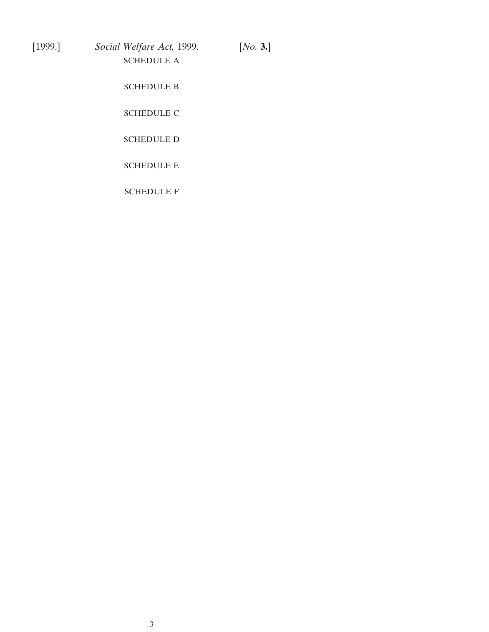[1999.] *Social Welfare Act,* 1999. [*No.* **3.**] [SCHEDULE A](#page-35-0)

[SCHEDULE B](#page-37-0)

[SCHEDULE C](#page-39-0)

[SCHEDULE D](#page-40-0)

[SCHEDULE E](#page-41-0)

[SCHEDULE F](#page-42-0)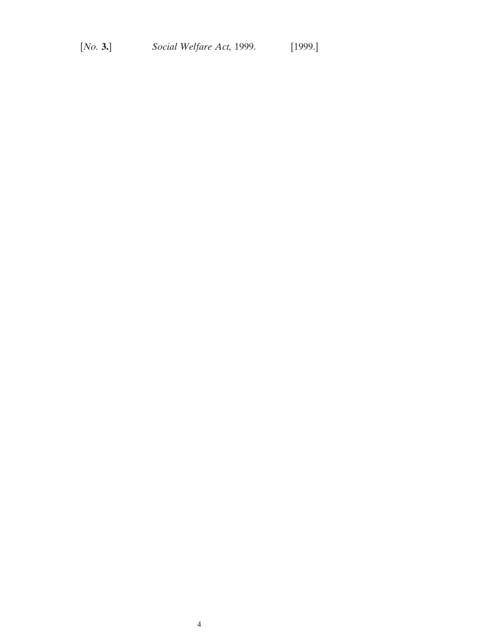| [ $No. 3.]$ | Social Welfare Act, 1999. | [1999.] |  |
|-------------|---------------------------|---------|--|
|-------------|---------------------------|---------|--|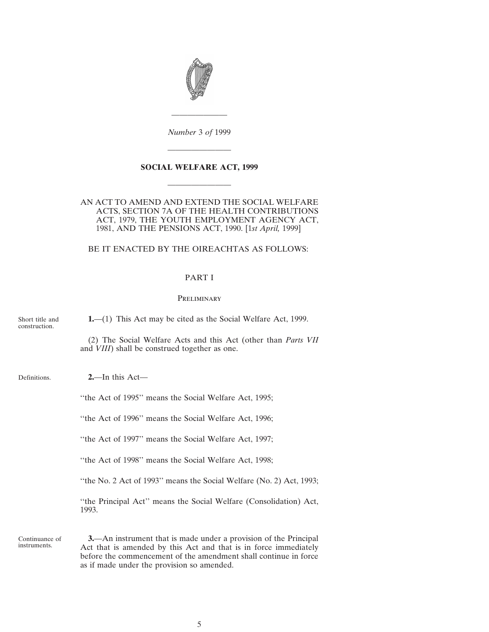<span id="page-4-0"></span>

*Number* 3 *of* 1999

———————

## **SOCIAL WELFARE ACT, 1999**

————————

————————

AN ACT TO AMEND AND EXTEND THE SOCIAL WELFARE ACTS, SECTION 7A OF THE HEALTH CONTRIBUTIONS ACT, 1979, THE YOUTH EMPLOYMENT AGENCY ACT, 1981, AND THE PENSIONS ACT, 1990. [1*st April,* 1999]

#### BE IT ENACTED BY THE OIREACHTAS AS FOLLOWS:

#### PART I

#### **PRELIMINARY**

Short title and construction. **1.**—(1) This Act may be cited as the Social Welfare Act, 1999.

> (2) The Social Welfare Acts and this Act (other than *Parts VII* and *VIII*) shall be construed together as one.

Definitions. **2.**—In this Act—

''the Act of 1995'' means the Social Welfare Act, 1995;

''the Act of 1996'' means the Social Welfare Act, 1996;

''the Act of 1997'' means the Social Welfare Act, 1997;

''the Act of 1998'' means the Social Welfare Act, 1998;

''the No. 2 Act of 1993'' means the Social Welfare (No. 2) Act, 1993;

''the Principal Act'' means the Social Welfare (Consolidation) Act, 1993.

Continuance of instruments.

**3.**—An instrument that is made under a provision of the Principal Act that is amended by this Act and that is in force immediately before the commencement of the amendment shall continue in force as if made under the provision so amended.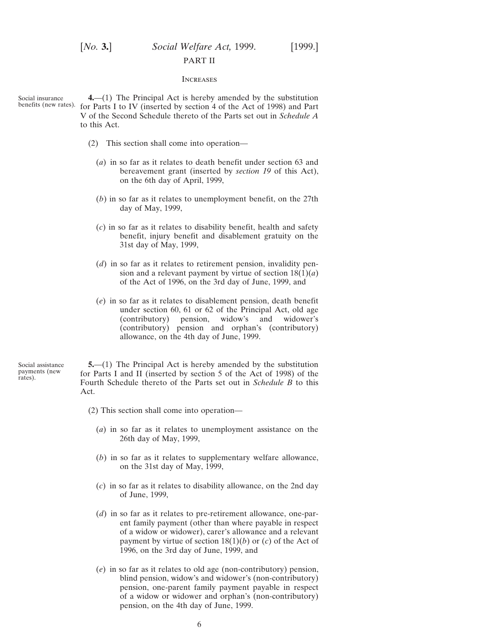# <span id="page-5-0"></span>[*No.* **3.**] *Social Welfare Act,* 1999. [1999.] PART II

#### **INCREASES**

Social insurance

benefits (new rates). for Parts I to IV (inserted by section 4 of the Act of 1998) and Part **4.**—(1) The Principal Act is hereby amended by the substitution V of the Second Schedule thereto of the Parts set out in *Schedule A* to this Act.

- (2) This section shall come into operation—
	- (*a*) in so far as it relates to death benefit under section 63 and bereavement grant (inserted by *section 19* of this Act), on the 6th day of April, 1999,
	- (*b*) in so far as it relates to unemployment benefit, on the 27th day of May, 1999,
	- (*c*) in so far as it relates to disability benefit, health and safety benefit, injury benefit and disablement gratuity on the 31st day of May, 1999,
	- (*d*) in so far as it relates to retirement pension, invalidity pension and a relevant payment by virtue of section 18(1)(*a*) of the Act of 1996, on the 3rd day of June, 1999, and
	- (*e*) in so far as it relates to disablement pension, death benefit under section 60, 61 or 62 of the Principal Act, old age (contributory) pension, widow's and widower's (contributory) pension and orphan's (contributory) allowance, on the 4th day of June, 1999.

Social assistance payments (new rates).

**5.**—(1) The Principal Act is hereby amended by the substitution for Parts I and II (inserted by section 5 of the Act of 1998) of the Fourth Schedule thereto of the Parts set out in *Schedule B* to this Act.

- (2) This section shall come into operation—
	- (*a*) in so far as it relates to unemployment assistance on the 26th day of May, 1999,
	- (*b*) in so far as it relates to supplementary welfare allowance, on the 31st day of May, 1999,
	- (*c*) in so far as it relates to disability allowance, on the 2nd day of June, 1999,
	- (*d*) in so far as it relates to pre-retirement allowance, one-parent family payment (other than where payable in respect of a widow or widower), carer's allowance and a relevant payment by virtue of section  $18(1)(b)$  or  $(c)$  of the Act of 1996, on the 3rd day of June, 1999, and
	- (*e*) in so far as it relates to old age (non-contributory) pension, blind pension, widow's and widower's (non-contributory) pension, one-parent family payment payable in respect of a widow or widower and orphan's (non-contributory) pension, on the 4th day of June, 1999.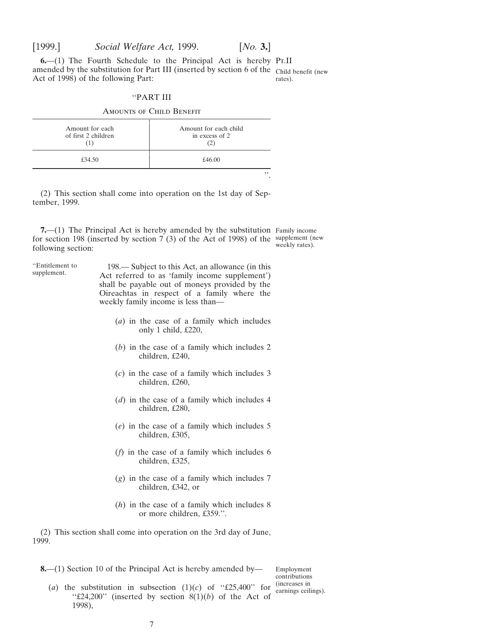<span id="page-6-0"></span>

**6.**—(1) The Fourth Schedule to the Principal Act is hereby Pt.II amended by the substitution for Part III (inserted by section 6 of the Child benefit (new Act of 1998) of the following Part: rates).

#### ''PART III

#### Amounts of Child Benefit

| Amount for each<br>of first 2 children | Amount for each child<br>in excess of 2 |
|----------------------------------------|-----------------------------------------|
| £34.50                                 | £46.00                                  |
|                                        | ,,                                      |

(2) This section shall come into operation on the 1st day of September, 1999.

**7.**—(1) The Principal Act is hereby amended by the substitution Family income for section 198 (inserted by section 7 (3) of the Act of 1998) of the supplement (new following section: weekly rates).

''Entitlement to 198.— Subject to this Act, an allowance (in this supplement. Act referred to as 'family income supplement') shall be payable out of moneys provided by the Oireachtas in respect of a family where the weekly family income is less than—

- (*a*) in the case of a family which includes only 1 child, £220,
- (*b*) in the case of a family which includes 2 children, £240,
- (*c*) in the case of a family which includes 3 children, £260,
- (*d*) in the case of a family which includes 4 children, £280,
- (*e*) in the case of a family which includes 5 children, £305,
- (*f*) in the case of a family which includes 6 children, £325,
- (*g*) in the case of a family which includes 7 children, £342, or
- (*h*) in the case of a family which includes 8 or more children, £359.''.

(2) This section shall come into operation on the 3rd day of June, 1999.

**8.**—(1) Section 10 of the Principal Act is hereby amended by—

Employment contributions (increases in earnings ceilings).

(*a*) the substitution in subsection  $(1)(c)$  of "£25,400" for "£24,200" (inserted by section  $8(1)(b)$  of the Act of 1998),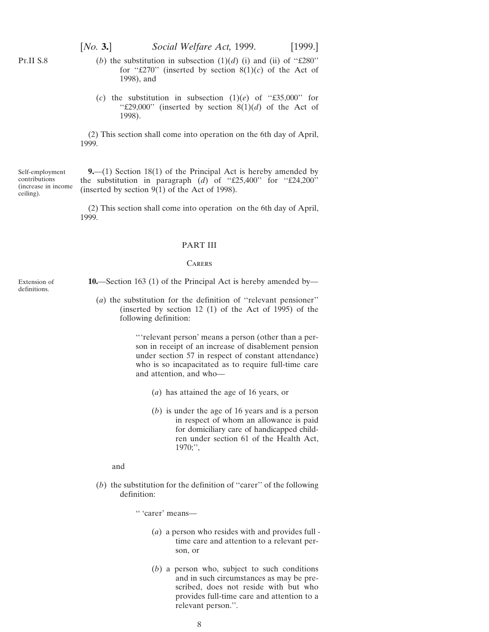<span id="page-7-0"></span>[*No.* **3.**] *Social Welfare Act,* 1999. [1999.]

- (*b*) the substitution in subsection  $(1)(d)$  (i) and (ii) of "£280" for "£270" (inserted by section  $8(1)(c)$  of the Act of 1998), and
- (*c*) the substitution in subsection  $(1)(e)$  of "£35,000" for " $\pounds$ 29,000" (inserted by section 8(1)(*d*) of the Act of 1998).

(2) This section shall come into operation on the 6th day of April, 1999.

Self-employment contributions (increase in income ceiling).

**9.**—(1) Section 18(1) of the Principal Act is hereby amended by the substitution in paragraph  $(d)$  of "£25,400" for "£24,200" (inserted by section 9(1) of the Act of 1998).

(2) This section shall come into operation on the 6th day of April, 1999.

## PART III

#### **CARERS**

**10.**—Section 163 (1) of the Principal Act is hereby amended by—

(*a*) the substitution for the definition of ''relevant pensioner'' (inserted by section 12 (1) of the Act of 1995) of the following definition:

> '''relevant person' means a person (other than a person in receipt of an increase of disablement pension under section 57 in respect of constant attendance) who is so incapacitated as to require full-time care and attention, and who—

- (*a*) has attained the age of 16 years, or
- (*b*) is under the age of 16 years and is a person in respect of whom an allowance is paid for domiciliary care of handicapped children under section 61 of the Health Act, 1970;'',

and

(*b*) the substitution for the definition of ''carer'' of the following definition:

"' 'carer' means-

- (*a*) a person who resides with and provides full time care and attention to a relevant person, or
- (*b*) a person who, subject to such conditions and in such circumstances as may be prescribed, does not reside with but who provides full-time care and attention to a relevant person.''.

Extension of definitions.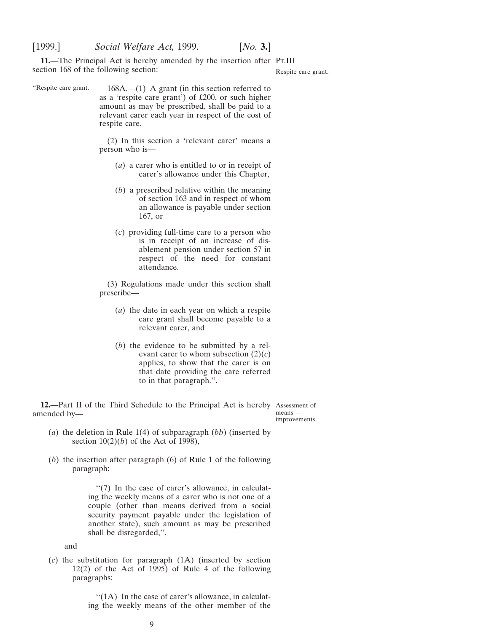<span id="page-8-0"></span>**11.**—The Principal Act is hereby amended by the insertion after Pt.III section 168 of the following section: Respite care grant.

"Respite care grant. 168A.—(1) A grant (in this section referred to as a 'respite care grant') of £200, or such higher amount as may be prescribed, shall be paid to a relevant carer each year in respect of the cost of respite care.

> (2) In this section a 'relevant carer' means a person who is—

- (*a*) a carer who is entitled to or in receipt of carer's allowance under this Chapter,
- (*b*) a prescribed relative within the meaning of section 163 and in respect of whom an allowance is payable under section 167, or
- (*c*) providing full-time care to a person who is in receipt of an increase of disablement pension under section 57 in respect of the need for constant attendance.

(3) Regulations made under this section shall prescribe—

- (*a*) the date in each year on which a respite care grant shall become payable to a relevant carer, and
- (*b*) the evidence to be submitted by a relevant carer to whom subsection (2)(*c*) applies, to show that the carer is on that date providing the care referred to in that paragraph.''.

**12.**—Part II of the Third Schedule to the Principal Act is hereby Assessment of amended by means

improvements.

- (*a*) the deletion in Rule 1(4) of subparagraph (*bb*) (inserted by section  $10(2)(b)$  of the Act of 1998),
- (*b*) the insertion after paragraph (6) of Rule 1 of the following paragraph:

''(7) In the case of carer's allowance, in calculating the weekly means of a carer who is not one of a couple (other than means derived from a social security payment payable under the legislation of another state), such amount as may be prescribed shall be disregarded,'',

and

(*c*) the substitution for paragraph (1A) (inserted by section 12(2) of the Act of 1995) of Rule 4 of the following paragraphs:

> "(1A) In the case of carer's allowance, in calculating the weekly means of the other member of the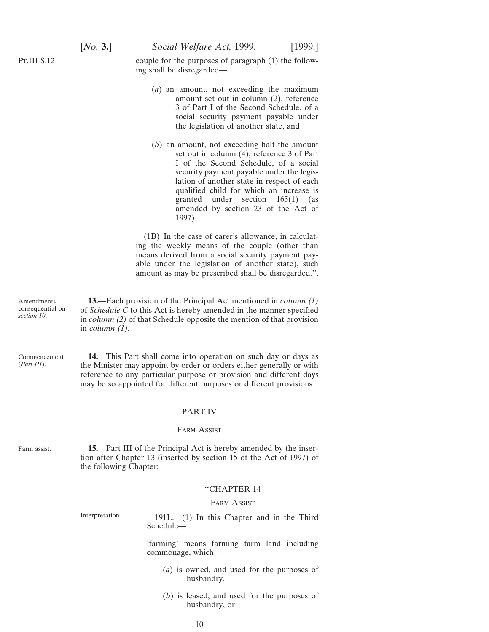<span id="page-9-0"></span>P<sub>T</sub>.III S<sub>.12</sub>

couple for the purposes of paragraph (1) the following shall be disregarded—

- (*a*) an amount, not exceeding the maximum amount set out in column (2), reference 3 of Part I of the Second Schedule, of a social security payment payable under the legislation of another state, and
- (*b*) an amount, not exceeding half the amount set out in column (4), reference 3 of Part I of the Second Schedule, of a social security payment payable under the legislation of another state in respect of each qualified child for which an increase is granted under section 165(1) (as amended by section 23 of the Act of 1997).

(1B) In the case of carer's allowance, in calculating the weekly means of the couple (other than means derived from a social security payment payable under the legislation of another state), such amount as may be prescribed shall be disregarded.''.

Amendments consequential on *section 10*. **13.**—Each provision of the Principal Act mentioned in *column (1)* of *Schedule C* to this Act is hereby amended in the manner specified in *column (2)* of that Schedule opposite the mention of that provision in *column (1).*

Commencement (*Part III*). **14.**—This Part shall come into operation on such day or days as the Minister may appoint by order or orders either generally or with reference to any particular purpose or provision and different days may be so appointed for different purposes or different provisions.

#### PART IV

### Farm Assist

Farm assist. **15.**—Part III of the Principal Act is hereby amended by the insertion after Chapter 13 (inserted by section 15 of the Act of 1997) of the following Chapter:

### ''CHAPTER 14

#### Farm Assist

Interpretation. 191L.—(1) In this Chapter and in the Third Schedule—

> 'farming' means farming farm land including commonage, which—

- (*a*) is owned, and used for the purposes of husbandry,
- (*b*) is leased, and used for the purposes of husbandry, or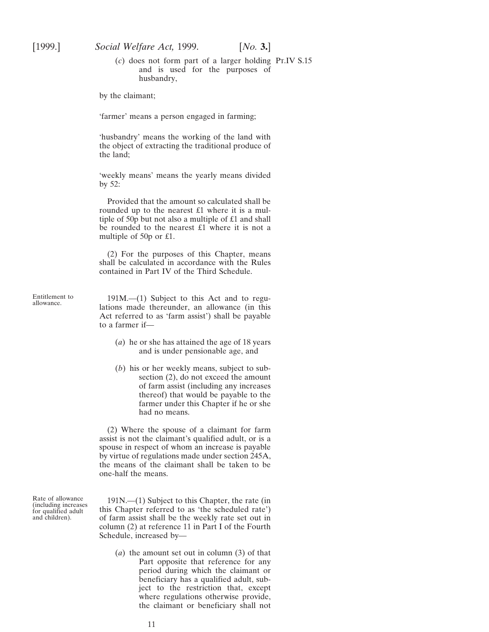(*c*) does not form part of a larger holding Pt.IV S.15 and is used for the purposes of husbandry,

by the claimant;

'farmer' means a person engaged in farming;

'husbandry' means the working of the land with the object of extracting the traditional produce of the land;

'weekly means' means the yearly means divided by 52:

Provided that the amount so calculated shall be rounded up to the nearest £1 where it is a multiple of 50p but not also a multiple of £1 and shall be rounded to the nearest £1 where it is not a multiple of 50p or £1.

(2) For the purposes of this Chapter, means shall be calculated in accordance with the Rules contained in Part IV of the Third Schedule.

Entitlement to 191M.—(1) Subject to this Act and to regu-<br>allowance. lations made thereunder, an allowance (in this Act referred to as 'farm assist') shall be payable to a farmer if—

- (*a*) he or she has attained the age of 18 years and is under pensionable age, and
- (*b*) his or her weekly means, subject to subsection (2), do not exceed the amount of farm assist (including any increases thereof) that would be payable to the farmer under this Chapter if he or she had no means.

(2) Where the spouse of a claimant for farm assist is not the claimant's qualified adult, or is a spouse in respect of whom an increase is payable by virtue of regulations made under section 245A, the means of the claimant shall be taken to be one-half the means.

Rate of allowance 191N.—(1) Subject to this Chapter, the rate (in (including increases this Chapter referred to as 'the scheduled rate') and children). of farm assist shall be the weekly rate set out in of farm assist shall be the weekly rate set out in column (2) at reference 11 in Part I of the Fourth Schedule, increased by—

> (*a*) the amount set out in column (3) of that Part opposite that reference for any period during which the claimant or beneficiary has a qualified adult, subject to the restriction that, except where regulations otherwise provide, the claimant or beneficiary shall not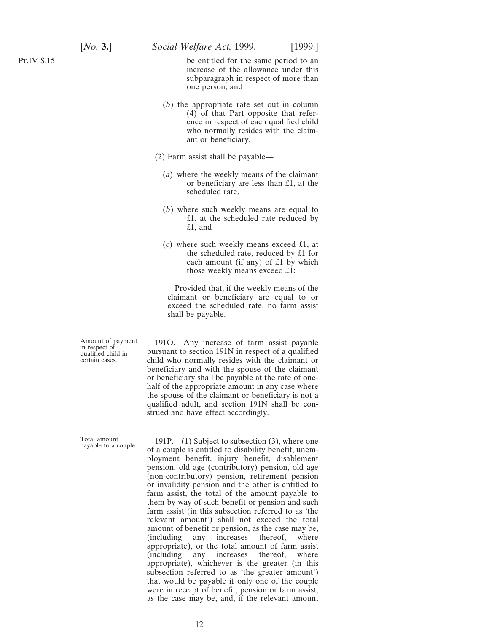Pt.IV S.15

be entitled for the same period to an increase of the allowance under this subparagraph in respect of more than one person, and

- (*b*) the appropriate rate set out in column (4) of that Part opposite that reference in respect of each qualified child who normally resides with the claimant or beneficiary.
- (2) Farm assist shall be payable—
	- (*a*) where the weekly means of the claimant or beneficiary are less than £1, at the scheduled rate,
	- (*b*) where such weekly means are equal to £1, at the scheduled rate reduced by £1, and
	- (*c*) where such weekly means exceed £1, at the scheduled rate, reduced by £1 for each amount (if any) of £1 by which those weekly means exceed £1:

Provided that, if the weekly means of the claimant or beneficiary are equal to or exceed the scheduled rate, no farm assist shall be payable.

Amount of payment 1910.—Any increase of farm assist payable<br>in respect of qualified child in pursuant to section 191N in respect of a qualified  $\frac{1}{2}$  and the pursuant to section 191N in respect of a qualified certain cases. child who normally resides with the claimant or child who normally resides with the claimant or beneficiary and with the spouse of the claimant or beneficiary shall be payable at the rate of onehalf of the appropriate amount in any case where the spouse of the claimant or beneficiary is not a qualified adult, and section 191N shall be construed and have effect accordingly.

Total amount 191P.—(1) Subject to subsection (3), where one payable to a couple. of a couple is entitled to disability benefit, unemployment benefit, injury benefit, disablement pension, old age (contributory) pension, old age (non-contributory) pension, retirement pension or invalidity pension and the other is entitled to farm assist, the total of the amount payable to them by way of such benefit or pension and such farm assist (in this subsection referred to as 'the relevant amount') shall not exceed the total amount of benefit or pension, as the case may be, (including any increases thereof, where appropriate), or the total amount of farm assist (including any increases thereof, where appropriate), whichever is the greater (in this subsection referred to as 'the greater amount') that would be payable if only one of the couple were in receipt of benefit, pension or farm assist, as the case may be, and, if the relevant amount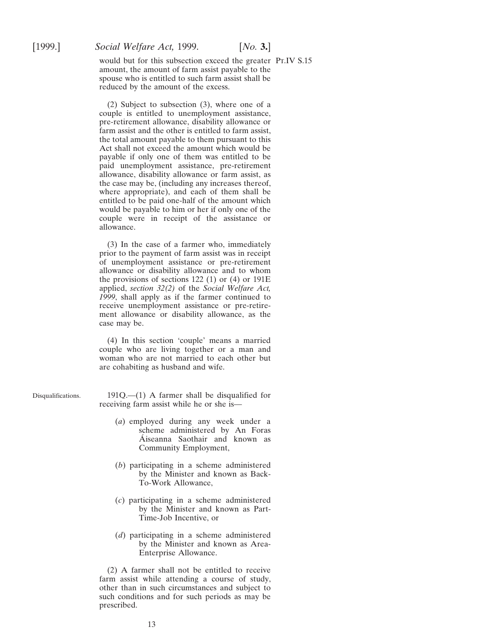would but for this subsection exceed the greater PT.IV S.15 amount, the amount of farm assist payable to the spouse who is entitled to such farm assist shall be reduced by the amount of the excess.

(2) Subject to subsection (3), where one of a couple is entitled to unemployment assistance, pre-retirement allowance, disability allowance or farm assist and the other is entitled to farm assist, the total amount payable to them pursuant to this Act shall not exceed the amount which would be payable if only one of them was entitled to be paid unemployment assistance, pre-retirement allowance, disability allowance or farm assist, as the case may be, (including any increases thereof, where appropriate), and each of them shall be entitled to be paid one-half of the amount which would be payable to him or her if only one of the couple were in receipt of the assistance or allowance.

(3) In the case of a farmer who, immediately prior to the payment of farm assist was in receipt of unemployment assistance or pre-retirement allowance or disability allowance and to whom the provisions of sections 122 (1) or (4) or 191E applied, *section 32(2)* of the *Social Welfare Act, 1999*, shall apply as if the farmer continued to receive unemployment assistance or pre-retirement allowance or disability allowance, as the case may be.

(4) In this section 'couple' means a married couple who are living together or a man and woman who are not married to each other but are cohabiting as husband and wife.

Disqualifications. 191Q.—(1) A farmer shall be disqualified for receiving farm assist while he or she is—

- (*a*) employed during any week under a scheme administered by An Foras Áiseanna Saothair and known as Community Employment,
- (*b*) participating in a scheme administered by the Minister and known as Back-To-Work Allowance,
- (*c*) participating in a scheme administered by the Minister and known as Part-Time-Job Incentive, or
- (*d*) participating in a scheme administered by the Minister and known as Area-Enterprise Allowance.

(2) A farmer shall not be entitled to receive farm assist while attending a course of study, other than in such circumstances and subject to such conditions and for such periods as may be prescribed.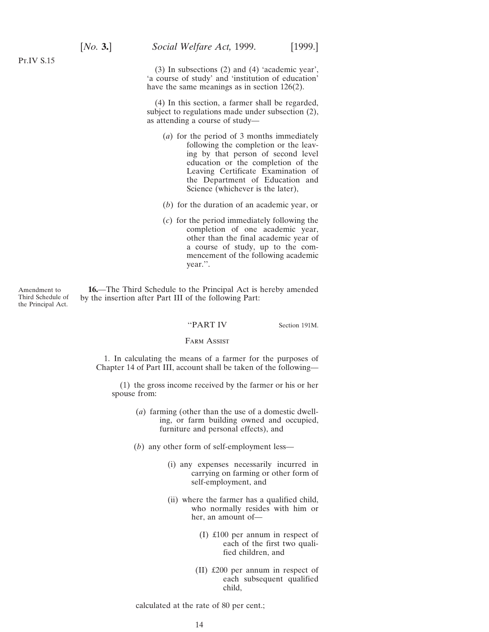<span id="page-13-0"></span>Pt.IV S.15

(3) In subsections (2) and (4) 'academic year', 'a course of study' and 'institution of education' have the same meanings as in section 126(2).

(4) In this section, a farmer shall be regarded, subject to regulations made under subsection (2), as attending a course of study—

- (*a*) for the period of 3 months immediately following the completion or the leaving by that person of second level education or the completion of the Leaving Certificate Examination of the Department of Education and Science (whichever is the later),
- (*b*) for the duration of an academic year, or
- (*c*) for the period immediately following the completion of one academic year, other than the final academic year of a course of study, up to the commencement of the following academic year.''.

Amendment to Third Schedule of the Principal Act. **16.**—The Third Schedule to the Principal Act is hereby amended by the insertion after Part III of the following Part:

#### ''PART IV Section 191M.

#### Farm Assist

1. In calculating the means of a farmer for the purposes of Chapter 14 of Part III, account shall be taken of the following—

(1) the gross income received by the farmer or his or her spouse from:

- (*a*) farming (other than the use of a domestic dwelling, or farm building owned and occupied, furniture and personal effects), and
- (*b*) any other form of self-employment less—
	- (i) any expenses necessarily incurred in carrying on farming or other form of self-employment, and
	- (ii) where the farmer has a qualified child, who normally resides with him or her, an amount of—
		- (I) £100 per annum in respect of each of the first two qualified children, and
		- (II) £200 per annum in respect of each subsequent qualified child,

calculated at the rate of 80 per cent.;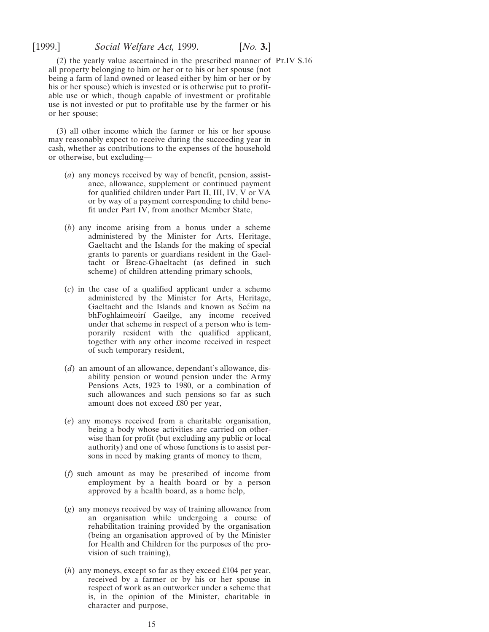(2) the yearly value ascertained in the prescribed manner of Pt.IV S.16 all property belonging to him or her or to his or her spouse (not being a farm of land owned or leased either by him or her or by his or her spouse) which is invested or is otherwise put to profitable use or which, though capable of investment or profitable use is not invested or put to profitable use by the farmer or his or her spouse;

(3) all other income which the farmer or his or her spouse may reasonably expect to receive during the succeeding year in cash, whether as contributions to the expenses of the household or otherwise, but excluding—

- (*a*) any moneys received by way of benefit, pension, assistance, allowance, supplement or continued payment for qualified children under Part II, III, IV,  $\hat{V}$  or VA or by way of a payment corresponding to child benefit under Part IV, from another Member State,
- (*b*) any income arising from a bonus under a scheme administered by the Minister for Arts, Heritage, Gaeltacht and the Islands for the making of special grants to parents or guardians resident in the Gaeltacht or Breac-Ghaeltacht (as defined in such scheme) of children attending primary schools,
- (*c*) in the case of a qualified applicant under a scheme administered by the Minister for Arts, Heritage, Gaeltacht and the Islands and known as Scéim na bhFoghlaimeoirí Gaeilge, any income received under that scheme in respect of a person who is temporarily resident with the qualified applicant, together with any other income received in respect of such temporary resident,
- (*d*) an amount of an allowance, dependant's allowance, disability pension or wound pension under the Army Pensions Acts, 1923 to 1980, or a combination of such allowances and such pensions so far as such amount does not exceed £80 per year,
- (*e*) any moneys received from a charitable organisation, being a body whose activities are carried on otherwise than for profit (but excluding any public or local authority) and one of whose functions is to assist persons in need by making grants of money to them,
- (*f*) such amount as may be prescribed of income from employment by a health board or by a person approved by a health board, as a home help,
- (*g*) any moneys received by way of training allowance from an organisation while undergoing a course of rehabilitation training provided by the organisation (being an organisation approved of by the Minister for Health and Children for the purposes of the provision of such training),
- (*h*) any moneys, except so far as they exceed £104 per year, received by a farmer or by his or her spouse in respect of work as an outworker under a scheme that is, in the opinion of the Minister, charitable in character and purpose,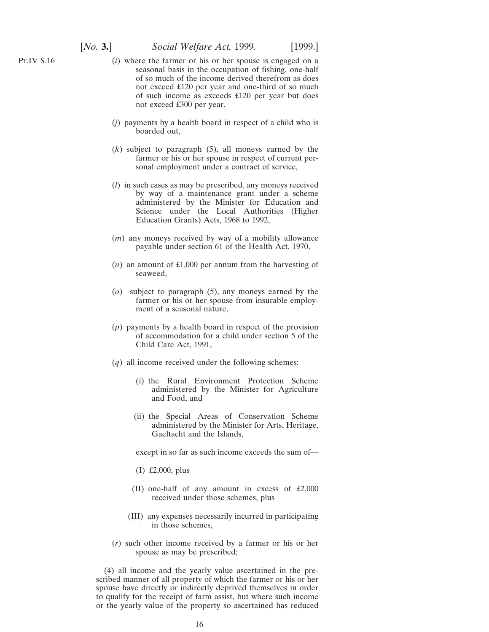Pt.IV S.16

- (*i*) where the farmer or his or her spouse is engaged on a seasonal basis in the occupation of fishing, one-half of so much of the income derived therefrom as does not exceed £120 per year and one-third of so much of such income as exceeds £120 per year but does not exceed £300 per year,
- (*j*) payments by a health board in respect of a child who is boarded out,
- (*k*) subject to paragraph (5), all moneys earned by the farmer or his or her spouse in respect of current personal employment under a contract of service,
- (*l*) in such cases as may be prescribed, any moneys received by way of a maintenance grant under a scheme administered by the Minister for Education and Science under the Local Authorities (Higher Education Grants) Acts, 1968 to 1992,
- (*m*) any moneys received by way of a mobility allowance payable under section 61 of the Health Act, 1970,
- (*n*) an amount of £1,000 per annum from the harvesting of seaweed,
- (*o*) subject to paragraph (5), any moneys earned by the farmer or his or her spouse from insurable employment of a seasonal nature,
- (*p*) payments by a health board in respect of the provision of accommodation for a child under section 5 of the Child Care Act, 1991,
- (*q*) all income received under the following schemes:
	- (i) the Rural Environment Protection Scheme administered by the Minister for Agriculture and Food, and
	- (ii) the Special Areas of Conservation Scheme administered by the Minister for Arts, Heritage, Gaeltacht and the Islands,

except in so far as such income exceeds the sum of—

- (I) £2,000, plus
- (II) one-half of any amount in excess of £2,000 received under those schemes, plus
- (III) any expenses necessarily incurred in participating in those schemes,
- (*r*) such other income received by a farmer or his or her spouse as may be prescribed;

(4) all income and the yearly value ascertained in the prescribed manner of all property of which the farmer or his or her spouse have directly or indirectly deprived themselves in order to qualify for the receipt of farm assist, but where such income or the yearly value of the property so ascertained has reduced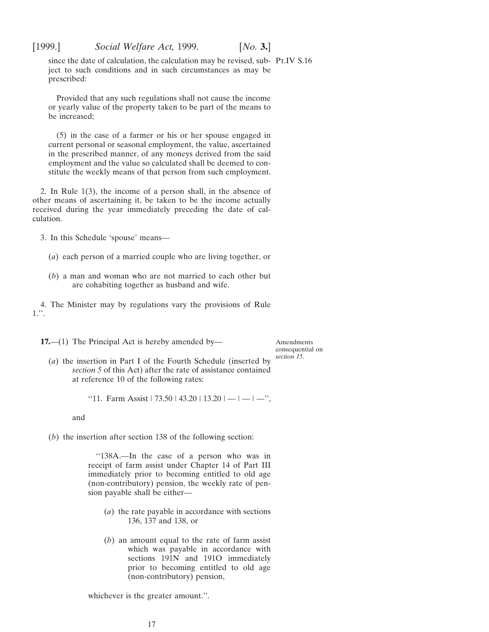<span id="page-16-0"></span>

since the date of calculation, the calculation may be revised, sub- PT.IV S.16 ject to such conditions and in such circumstances as may be prescribed:

Provided that any such regulations shall not cause the income or yearly value of the property taken to be part of the means to be increased;

(5) in the case of a farmer or his or her spouse engaged in current personal or seasonal employment, the value, ascertained in the prescribed manner, of any moneys derived from the said employment and the value so calculated shall be deemed to constitute the weekly means of that person from such employment.

2. In Rule 1(3), the income of a person shall, in the absence of other means of ascertaining it, be taken to be the income actually received during the year immediately preceding the date of calculation.

3. In this Schedule 'spouse' means—

- (*a*) each person of a married couple who are living together, or
- (*b*) a man and woman who are not married to each other but are cohabiting together as husband and wife.

4. The Minister may by regulations vary the provisions of Rule 1.''.

17.—(1) The Principal Act is hereby amended by—

Amendments consequential on *section 15*.

(*a*) the insertion in Part I of the Fourth Schedule (inserted by *section 5* of this Act) after the rate of assistance contained at reference 10 of the following rates:

"11. Farm Assist | 73.50 | 43.20 | 13.20 | — | — | —",

and

(*b*) the insertion after section 138 of the following section:

''138A.—In the case of a person who was in receipt of farm assist under Chapter 14 of Part III immediately prior to becoming entitled to old age (non-contributory) pension, the weekly rate of pension payable shall be either—

- (*a*) the rate payable in accordance with sections 136, 137 and 138, or
- (*b*) an amount equal to the rate of farm assist which was payable in accordance with sections 191N and 191O immediately prior to becoming entitled to old age (non-contributory) pension,

whichever is the greater amount.''.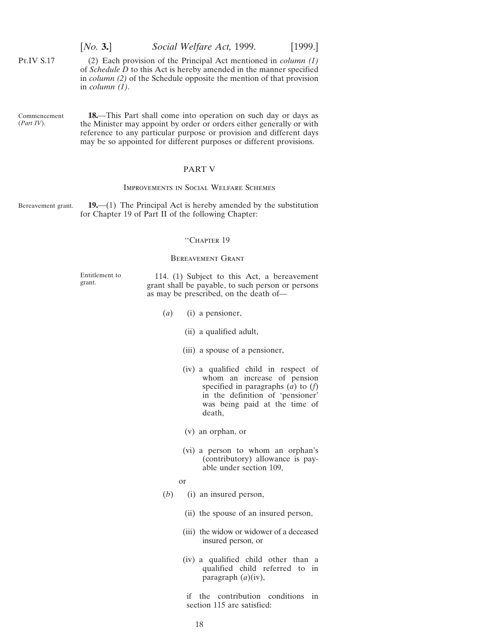[*No.* **3.**] *Social Welfare Act,* 1999. [1999.]

- <span id="page-17-0"></span>Pt.IV S.17 (2) Each provision of the Principal Act mentioned in *column (1)* of *Schedule D* to this Act is hereby amended in the manner specified in *column (2)* of the Schedule opposite the mention of that provision in *column (1)*.
- Commencement (*Part IV*). **18.**—This Part shall come into operation on such day or days as the Minister may appoint by order or orders either generally or with reference to any particular purpose or provision and different days may be so appointed for different purposes or different provisions.

#### PART V

#### Improvements in Social Welfare Schemes

Bereavement grant. **19.**—(1) The Principal Act is hereby amended by the substitution for Chapter 19 of Part II of the following Chapter:

#### ''Chapter 19

#### Bereavement Grant

Entitlement to 114. (1) Subject to this Act, a bereavement grant.<br>grant shall be payable, to such person or persons as may be prescribed, on the death of—

- (*a*) (i) a pensioner,
	- (ii) a qualified adult,
	- (iii) a spouse of a pensioner,
	- (iv) a qualified child in respect of whom an increase of pension specified in paragraphs (*a*) to (*f*) in the definition of 'pensioner' was being paid at the time of death,
	- (v) an orphan, or
	- (vi) a person to whom an orphan's (contributory) allowance is payable under section 109,
	- or
- (*b*) (i) an insured person,
	- (ii) the spouse of an insured person,
	- (iii) the widow or widower of a deceased insured person, or
	- (iv) a qualified child other than a qualified child referred to in paragraph (*a*)(iv),

if the contribution conditions in section 115 are satisfied: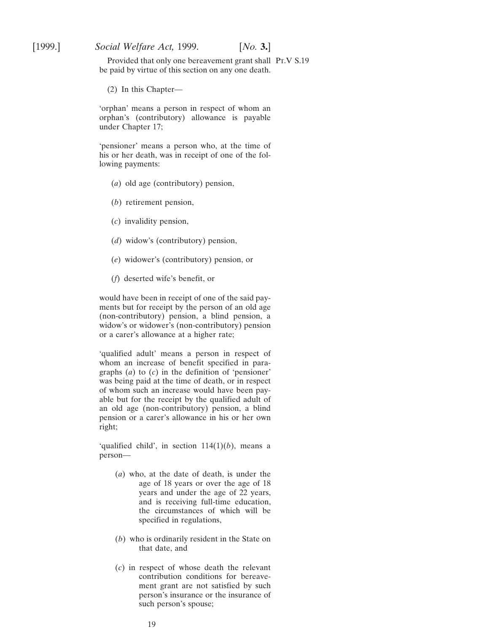Provided that only one bereavement grant shall PT.V S.19 be paid by virtue of this section on any one death.

(2) In this Chapter—

'orphan' means a person in respect of whom an orphan's (contributory) allowance is payable under Chapter 17;

'pensioner' means a person who, at the time of his or her death, was in receipt of one of the following payments:

- (*a*) old age (contributory) pension,
- (*b*) retirement pension,
- (*c*) invalidity pension,
- (*d*) widow's (contributory) pension,
- (*e*) widower's (contributory) pension, or
- (*f*) deserted wife's benefit, or

would have been in receipt of one of the said payments but for receipt by the person of an old age (non-contributory) pension, a blind pension, a widow's or widower's (non-contributory) pension or a carer's allowance at a higher rate;

'qualified adult' means a person in respect of whom an increase of benefit specified in paragraphs (*a*) to (*c*) in the definition of 'pensioner' was being paid at the time of death, or in respect of whom such an increase would have been payable but for the receipt by the qualified adult of an old age (non-contributory) pension, a blind pension or a carer's allowance in his or her own right;

'qualified child', in section  $114(1)(b)$ , means a person—

- (*a*) who, at the date of death, is under the age of 18 years or over the age of 18 years and under the age of 22 years, and is receiving full-time education, the circumstances of which will be specified in regulations,
- (*b*) who is ordinarily resident in the State on that date, and
- (*c*) in respect of whose death the relevant contribution conditions for bereavement grant are not satisfied by such person's insurance or the insurance of such person's spouse;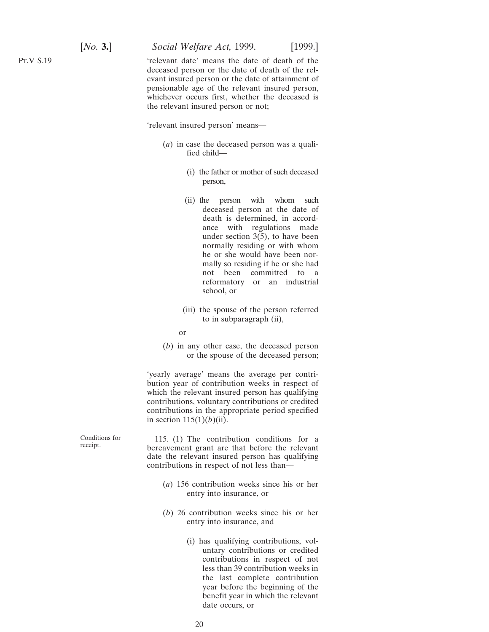Pt.V S.19

'relevant date' means the date of death of the deceased person or the date of death of the relevant insured person or the date of attainment of pensionable age of the relevant insured person, whichever occurs first, whether the deceased is the relevant insured person or not;

'relevant insured person' means—

- (*a*) in case the deceased person was a qualified child—
	- (i) the father or mother of such deceased person,
	- (ii) the person with whom such deceased person at the date of death is determined, in accordance with regulations made under section  $3(5)$ , to have been normally residing or with whom he or she would have been normally so residing if he or she had not been committed to a reformatory or an industrial school, or
	- (iii) the spouse of the person referred to in subparagraph (ii),
	- or
- (*b*) in any other case, the deceased person or the spouse of the deceased person;

'yearly average' means the average per contribution year of contribution weeks in respect of which the relevant insured person has qualifying contributions, voluntary contributions or credited contributions in the appropriate period specified in section  $115(1)(b)(ii)$ .

Conditions for 115. (1) The contribution conditions for a receipt.<br>
bereavement grant are that before the relevant date the relevant insured person has qualifying contributions in respect of not less than—

- (*a*) 156 contribution weeks since his or her entry into insurance, or
- (*b*) 26 contribution weeks since his or her entry into insurance, and
	- (i) has qualifying contributions, voluntary contributions or credited contributions in respect of not less than 39 contribution weeks in the last complete contribution year before the beginning of the benefit year in which the relevant date occurs, or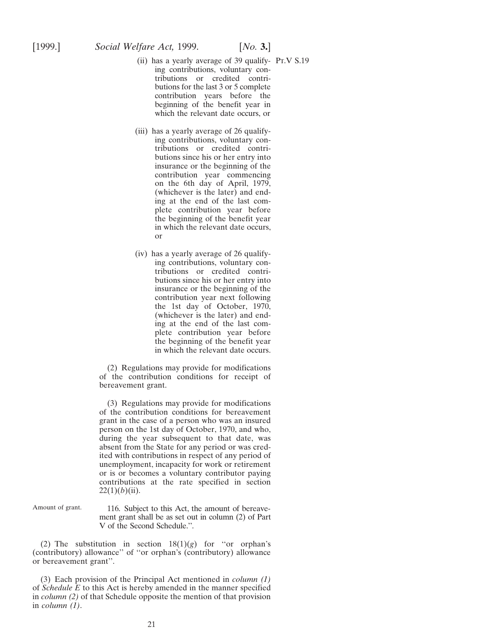- (ii) has a yearly average of 39 qualify-  $Pr.V S.19$ ing contributions, voluntary contributions or credited contributions for the last 3 or 5 complete contribution years before the beginning of the benefit year in which the relevant date occurs, or
- (iii) has a yearly average of 26 qualifying contributions, voluntary contributions or credited contributions since his or her entry into insurance or the beginning of the contribution year commencing on the 6th day of April, 1979, (whichever is the later) and ending at the end of the last complete contribution year before the beginning of the benefit year in which the relevant date occurs, or
- (iv) has a yearly average of 26 qualifying contributions, voluntary contributions or credited contributions since his or her entry into insurance or the beginning of the contribution year next following the 1st day of October, 1970, (whichever is the later) and ending at the end of the last complete contribution year before the beginning of the benefit year in which the relevant date occurs.

(2) Regulations may provide for modifications of the contribution conditions for receipt of bereavement grant.

(3) Regulations may provide for modifications of the contribution conditions for bereavement grant in the case of a person who was an insured person on the 1st day of October, 1970, and who, during the year subsequent to that date, was absent from the State for any period or was credited with contributions in respect of any period of unemployment, incapacity for work or retirement or is or becomes a voluntary contributor paying contributions at the rate specified in section  $22(1)(b)(ii)$ .

Amount of grant. 116. Subject to this Act, the amount of bereavement grant shall be as set out in column (2) of Part V of the Second Schedule.''.

(2) The substitution in section  $18(1)(g)$  for "or orphan's (contributory) allowance'' of ''or orphan's (contributory) allowance or bereavement grant''.

(3) Each provision of the Principal Act mentioned in *column (1)* of *Schedule E* to this Act is hereby amended in the manner specified in *column (2)* of that Schedule opposite the mention of that provision in *column (1)*.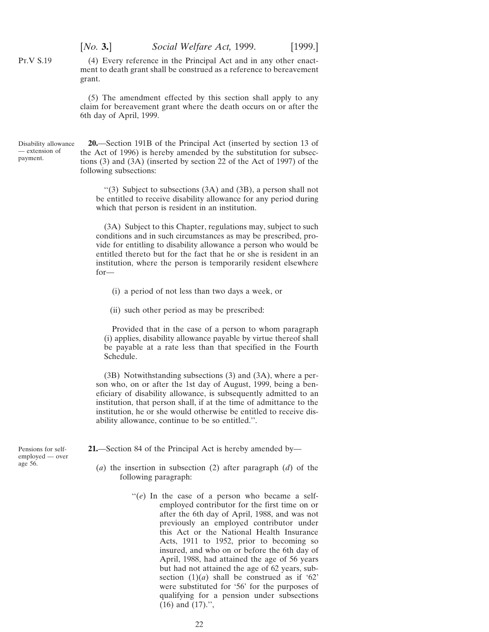<span id="page-21-0"></span>Pt.V S.19

(4) Every reference in the Principal Act and in any other enactment to death grant shall be construed as a reference to bereavement grant.

(5) The amendment effected by this section shall apply to any claim for bereavement grant where the death occurs on or after the 6th day of April, 1999.

Disability allowance — extension of payment.

**20.**—Section 191B of the Principal Act (inserted by section 13 of the Act of 1996) is hereby amended by the substitution for subsections (3) and (3A) (inserted by section 22 of the Act of 1997) of the following subsections:

''(3) Subject to subsections (3A) and (3B), a person shall not be entitled to receive disability allowance for any period during which that person is resident in an institution.

(3A) Subject to this Chapter, regulations may, subject to such conditions and in such circumstances as may be prescribed, provide for entitling to disability allowance a person who would be entitled thereto but for the fact that he or she is resident in an institution, where the person is temporarily resident elsewhere for—

- (i) a period of not less than two days a week, or
- (ii) such other period as may be prescribed:

Provided that in the case of a person to whom paragraph (i) applies, disability allowance payable by virtue thereof shall be payable at a rate less than that specified in the Fourth Schedule.

(3B) Notwithstanding subsections (3) and (3A), where a person who, on or after the 1st day of August, 1999, being a beneficiary of disability allowance, is subsequently admitted to an institution, that person shall, if at the time of admittance to the institution, he or she would otherwise be entitled to receive disability allowance, continue to be so entitled.''.

Pensions for selfemployed — over age 56.

**21.**—Section 84 of the Principal Act is hereby amended by—

- (*a*) the insertion in subsection (2) after paragraph (*d*) of the following paragraph:
	- $f'(e)$  In the case of a person who became a selfemployed contributor for the first time on or after the 6th day of April, 1988, and was not previously an employed contributor under this Act or the National Health Insurance Acts, 1911 to 1952, prior to becoming so insured, and who on or before the 6th day of April, 1988, had attained the age of 56 years but had not attained the age of 62 years, subsection  $(1)(a)$  shall be construed as if '62' were substituted for '56' for the purposes of qualifying for a pension under subsections (16) and (17).'',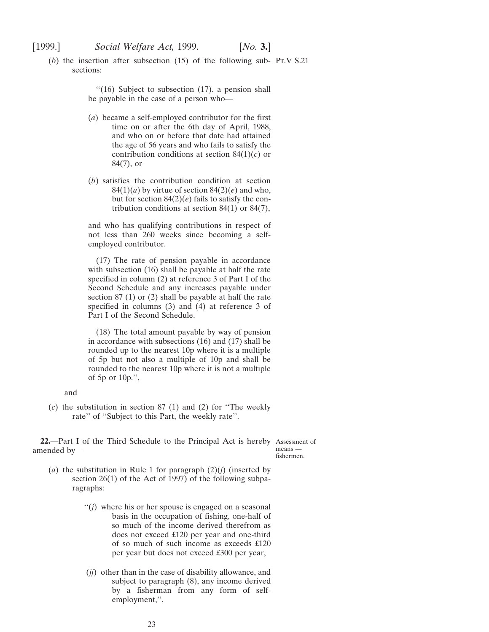<span id="page-22-0"></span>(*b*) the insertion after subsection (15) of the following sub-  $Pr.V S.21$ sections:

> ''(16) Subject to subsection (17), a pension shall be payable in the case of a person who—

- (*a*) became a self-employed contributor for the first time on or after the 6th day of April, 1988, and who on or before that date had attained the age of 56 years and who fails to satisfy the contribution conditions at section 84(1)(*c*) or 84(7), or
- (*b*) satisfies the contribution condition at section  $84(1)(a)$  by virtue of section  $84(2)(e)$  and who, but for section 84(2)(*e*) fails to satisfy the contribution conditions at section 84(1) or 84(7),

and who has qualifying contributions in respect of not less than 260 weeks since becoming a selfemployed contributor.

(17) The rate of pension payable in accordance with subsection (16) shall be payable at half the rate specified in column (2) at reference 3 of Part I of the Second Schedule and any increases payable under section 87 (1) or (2) shall be payable at half the rate specified in columns (3) and (4) at reference 3 of Part I of the Second Schedule.

(18) The total amount payable by way of pension in accordance with subsections (16) and (17) shall be rounded up to the nearest 10p where it is a multiple of 5p but not also a multiple of 10p and shall be rounded to the nearest 10p where it is not a multiple of 5p or 10p.'',

and

(*c*) the substitution in section 87 (1) and (2) for ''The weekly rate'' of ''Subject to this Part, the weekly rate''.

**22.**—Part I of the Third Schedule to the Principal Act is hereby Assessment of amended by—

means fishermen.

- (*a*) the substitution in Rule 1 for paragraph  $(2)(i)$  (inserted by section 26(1) of the Act of 1997) of the following subparagraphs:
	- ''(*j*) where his or her spouse is engaged on a seasonal basis in the occupation of fishing, one-half of so much of the income derived therefrom as does not exceed £120 per year and one-third of so much of such income as exceeds £120 per year but does not exceed £300 per year,
	- (*jj*) other than in the case of disability allowance, and subject to paragraph (8), any income derived by a fisherman from any form of selfemployment,'',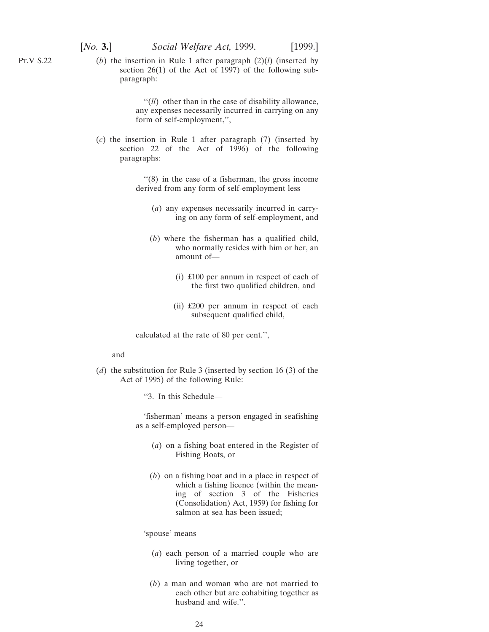Pt.V S.22

(*b*) the insertion in Rule 1 after paragraph (2)(*l*) (inserted by section 26(1) of the Act of 1997) of the following subparagraph:

> ''(*ll*) other than in the case of disability allowance, any expenses necessarily incurred in carrying on any form of self-employment,'',

(*c*) the insertion in Rule 1 after paragraph (7) (inserted by section 22 of the Act of 1996) of the following paragraphs:

> ''(8) in the case of a fisherman, the gross income derived from any form of self-employment less—

- (*a*) any expenses necessarily incurred in carrying on any form of self-employment, and
- (*b*) where the fisherman has a qualified child, who normally resides with him or her, an amount of—
	- (i) £100 per annum in respect of each of the first two qualified children, and
	- (ii) £200 per annum in respect of each subsequent qualified child,

calculated at the rate of 80 per cent.'',

### and

(*d*) the substitution for Rule 3 (inserted by section 16 (3) of the Act of 1995) of the following Rule:

''3. In this Schedule—

'fisherman' means a person engaged in seafishing as a self-employed person—

- (*a*) on a fishing boat entered in the Register of Fishing Boats, or
- (*b*) on a fishing boat and in a place in respect of which a fishing licence (within the meaning of section 3 of the Fisheries (Consolidation) Act, 1959) for fishing for salmon at sea has been issued;

'spouse' means—

- (*a*) each person of a married couple who are living together, or
- (*b*) a man and woman who are not married to each other but are cohabiting together as husband and wife.''.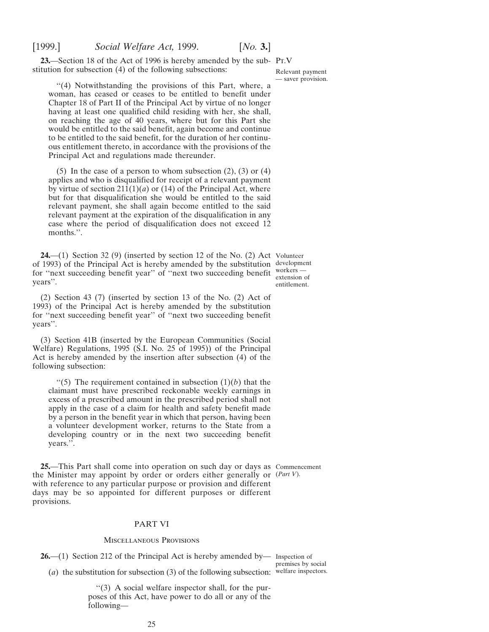<span id="page-24-0"></span>

**23.**—Section 18 of the Act of 1996 is hereby amended by the sub- Pr.V stitution for subsection (4) of the following subsections:

''(4) Notwithstanding the provisions of this Part, where, a woman, has ceased or ceases to be entitled to benefit under Chapter 18 of Part II of the Principal Act by virtue of no longer having at least one qualified child residing with her, she shall, on reaching the age of 40 years, where but for this Part she would be entitled to the said benefit, again become and continue to be entitled to the said benefit, for the duration of her continuous entitlement thereto, in accordance with the provisions of the

(5) In the case of a person to whom subsection  $(2)$ ,  $(3)$  or  $(4)$ applies and who is disqualified for receipt of a relevant payment by virtue of section  $211(1)(a)$  or (14) of the Principal Act, where but for that disqualification she would be entitled to the said relevant payment, she shall again become entitled to the said relevant payment at the expiration of the disqualification in any case where the period of disqualification does not exceed 12 months.''.

Principal Act and regulations made thereunder.

**24.**—(1) Section 32 (9) (inserted by section 12 of the No. (2) Act Volunteer of 1993) of the Principal Act is hereby amended by the substitution development for "next succeeding benefit year" of "next two succeeding benefit  $\frac{\text{workers}}{\text{extension}}$ years''.

extension of entitlement.

(2) Section 43 (7) (inserted by section 13 of the No. (2) Act of 1993) of the Principal Act is hereby amended by the substitution for ''next succeeding benefit year'' of ''next two succeeding benefit years''.

(3) Section 41B (inserted by the European Communities (Social Welfare) Regulations, 1995 (S.I. No. 25 of 1995)) of the Principal Act is hereby amended by the insertion after subsection (4) of the following subsection:

 $(5)$  The requirement contained in subsection  $(1)(b)$  that the claimant must have prescribed reckonable weekly earnings in excess of a prescribed amount in the prescribed period shall not apply in the case of a claim for health and safety benefit made by a person in the benefit year in which that person, having been a volunteer development worker, returns to the State from a developing country or in the next two succeeding benefit years.''.

**25.**—This Part shall come into operation on such day or days as Commencement the Minister may appoint by order or orders either generally or (*Part V*). with reference to any particular purpose or provision and different days may be so appointed for different purposes or different provisions.

#### PART VI

#### Miscellaneous Provisions

**26.**—(1) Section 212 of the Principal Act is hereby amended by— Inspection of

(*a*) the substitution for subsection (3) of the following subsection: welfare inspectors.premises by social

> ''(3) A social welfare inspector shall, for the purposes of this Act, have power to do all or any of the following—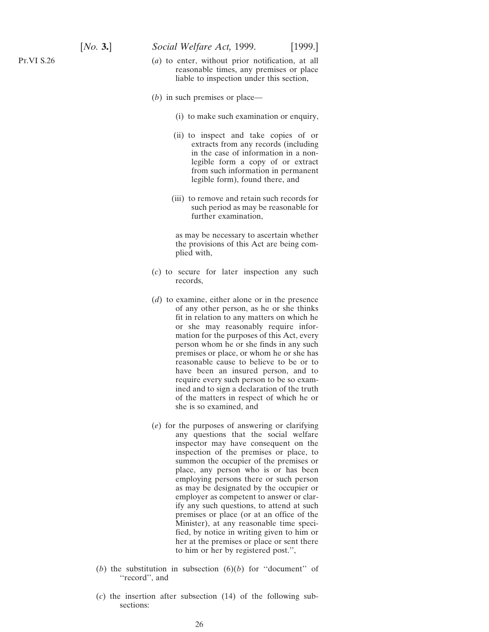- (*a*) to enter, without prior notification, at all reasonable times, any premises or place liable to inspection under this section,
- (*b*) in such premises or place—
	- (i) to make such examination or enquiry,
	- (ii) to inspect and take copies of or extracts from any records (including in the case of information in a nonlegible form a copy of or extract from such information in permanent legible form), found there, and
	- (iii) to remove and retain such records for such period as may be reasonable for further examination,

as may be necessary to ascertain whether the provisions of this Act are being complied with,

- (*c*) to secure for later inspection any such records,
- (*d*) to examine, either alone or in the presence of any other person, as he or she thinks fit in relation to any matters on which he or she may reasonably require information for the purposes of this Act, every person whom he or she finds in any such premises or place, or whom he or she has reasonable cause to believe to be or to have been an insured person, and to require every such person to be so examined and to sign a declaration of the truth of the matters in respect of which he or she is so examined, and
- (*e*) for the purposes of answering or clarifying any questions that the social welfare inspector may have consequent on the inspection of the premises or place, to summon the occupier of the premises or place, any person who is or has been employing persons there or such person as may be designated by the occupier or employer as competent to answer or clarify any such questions, to attend at such premises or place (or at an office of the Minister), at any reasonable time specified, by notice in writing given to him or her at the premises or place or sent there to him or her by registered post.'',
- (*b*) the substitution in subsection  $(6)(b)$  for "document" of "record", and
- (*c*) the insertion after subsection (14) of the following subsections:

Pt.VI S.26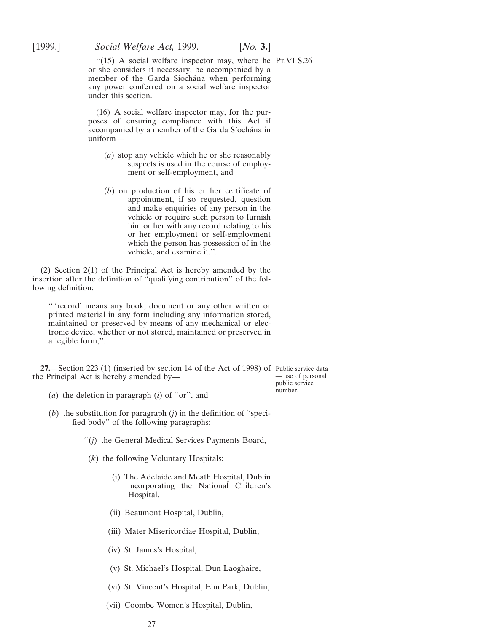<span id="page-26-0"></span>

 $\cdot$ (15) A social welfare inspector may, where he Pt.VI S.26 or she considers it necessary, be accompanied by a member of the Garda Síochána when performing any power conferred on a social welfare inspector under this section.

(16) A social welfare inspector may, for the purposes of ensuring compliance with this Act if accompanied by a member of the Garda Síochána in uniform—

- (*a*) stop any vehicle which he or she reasonably suspects is used in the course of employment or self-employment, and
- (*b*) on production of his or her certificate of appointment, if so requested, question and make enquiries of any person in the vehicle or require such person to furnish him or her with any record relating to his or her employment or self-employment which the person has possession of in the vehicle, and examine it.''.

(2) Section 2(1) of the Principal Act is hereby amended by the insertion after the definition of ''qualifying contribution'' of the following definition:

'' 'record' means any book, document or any other written or printed material in any form including any information stored, maintained or preserved by means of any mechanical or electronic device, whether or not stored, maintained or preserved in a legible form;''.

**27.**—Section 223 (1) (inserted by section 14 of the Act of 1998) of Public service data the Principal Act is hereby amended by—

— use of personal public service number.

- (*a*) the deletion in paragraph (*i*) of ''or'', and
- (*b*) the substitution for paragraph (*j*) in the definition of ''specified body'' of the following paragraphs:
	- ''(*j*) the General Medical Services Payments Board,
	- (*k*) the following Voluntary Hospitals:
		- (i) The Adelaide and Meath Hospital, Dublin incorporating the National Children's Hospital,
		- (ii) Beaumont Hospital, Dublin,
		- (iii) Mater Misericordiae Hospital, Dublin,
		- (iv) St. James's Hospital,
		- (v) St. Michael's Hospital, Dun Laoghaire,
		- (vi) St. Vincent's Hospital, Elm Park, Dublin,
		- (vii) Coombe Women's Hospital, Dublin,

27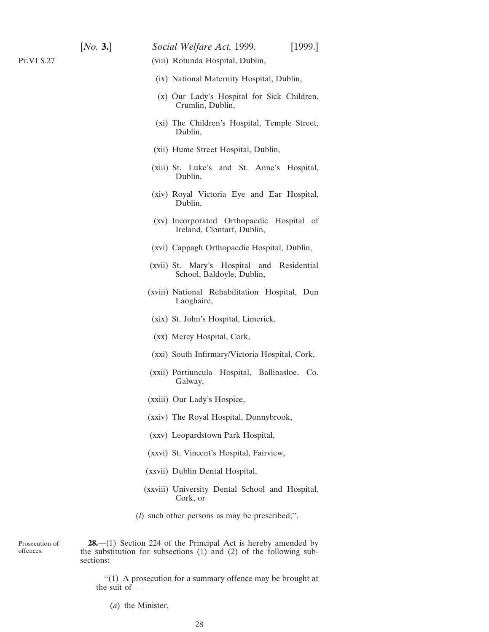<span id="page-27-0"></span>Pt.VI S.27

- (viii) Rotunda Hospital, Dublin,
- (ix) National Maternity Hospital, Dublin,
- (x) Our Lady's Hospital for Sick Children, Crumlin, Dublin,
- (xi) The Children's Hospital, Temple Street, Dublin,
- (xii) Hume Street Hospital, Dublin,
- (xiii) St. Luke's and St. Anne's Hospital, Dublin,
- (xiv) Royal Victoria Eye and Ear Hospital, Dublin,
- (xv) Incorporated Orthopaedic Hospital of Ireland, Clontarf, Dublin,
- (xvi) Cappagh Orthopaedic Hospital, Dublin,
- (xvii) St. Mary's Hospital and Residential School, Baldoyle, Dublin,
- (xviii) National Rehabilitation Hospital, Dun Laoghaire,
- (xix) St. John's Hospital, Limerick,
- (xx) Mercy Hospital, Cork,
- (xxi) South Infirmary/Victoria Hospital, Cork,
- (xxii) Portiuncula Hospital, Ballinasloe, Co. Galway,
- (xxiii) Our Lady's Hospice,
- (xxiv) The Royal Hospital, Donnybrook,
- (xxv) Leopardstown Park Hospital,
- (xxvi) St. Vincent's Hospital, Fairview,
- (xxvii) Dublin Dental Hospital,
- (xxviii) University Dental School and Hospital, Cork, or
- (*l*) such other persons as may be prescribed;''.

Prosecution of offences.

**28.**—(1) Section 224 of the Principal Act is hereby amended by the substitution for subsections (1) and (2) of the following subsections:

''(1) A prosecution for a summary offence may be brought at the suit of —

(*a*) the Minister,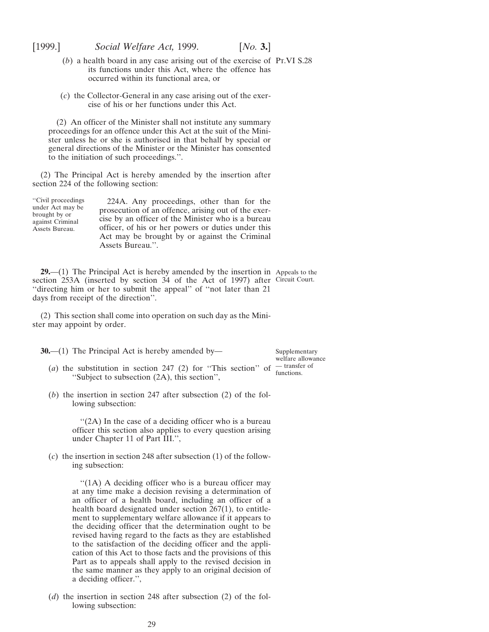<span id="page-28-0"></span>

- (*b*) a health board in any case arising out of the exercise of Pt.VI S.28 its functions under this Act, where the offence has occurred within its functional area, or
- (*c*) the Collector-General in any case arising out of the exercise of his or her functions under this Act.

(2) An officer of the Minister shall not institute any summary proceedings for an offence under this Act at the suit of the Minister unless he or she is authorised in that behalf by special or general directions of the Minister or the Minister has consented to the initiation of such proceedings.''.

(2) The Principal Act is hereby amended by the insertion after section 224 of the following section:

''Civil proceedings 224A. Any proceedings, other than for the under Act may be prosecution of an offence, arising out of the exer- brought by or cise by an officer of the Minister who is a bureau against Criminal Assets Bureau. officer, of his or her powers or duties under this Act may be brought by or against the Criminal Assets Bureau.''.

**29.**—(1) The Principal Act is hereby amended by the insertion in Appeals to the section 253A (inserted by section 34 of the Act of 1997) after Circuit Court. ''directing him or her to submit the appeal'' of ''not later than 21 days from receipt of the direction''.

(2) This section shall come into operation on such day as the Minister may appoint by order.

**30.**—(1) The Principal Act is hereby amended by—

Supplementary welfare allowance — transfer of functions.

- (*a*) the substitution in section 247 (2) for ''This section'' of ''Subject to subsection (2A), this section'',
- (*b*) the insertion in section 247 after subsection (2) of the following subsection:

''(2A) In the case of a deciding officer who is a bureau officer this section also applies to every question arising under Chapter 11 of Part III.'',

(*c*) the insertion in section 248 after subsection (1) of the following subsection:

> "(1A) A deciding officer who is a bureau officer may at any time make a decision revising a determination of an officer of a health board, including an officer of a health board designated under section 267(1), to entitlement to supplementary welfare allowance if it appears to the deciding officer that the determination ought to be revised having regard to the facts as they are established to the satisfaction of the deciding officer and the application of this Act to those facts and the provisions of this Part as to appeals shall apply to the revised decision in the same manner as they apply to an original decision of a deciding officer.'',

(*d*) the insertion in section 248 after subsection (2) of the following subsection: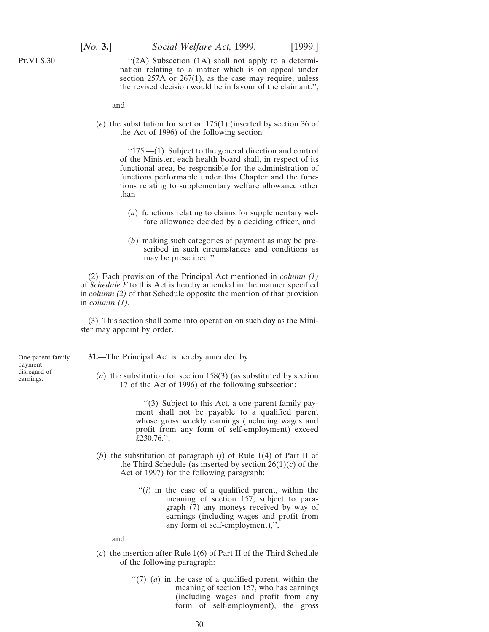<span id="page-29-0"></span>Pt.VI S.30

"(2A) Subsection (1A) shall not apply to a determination relating to a matter which is on appeal under section  $257A$  or  $267(1)$ , as the case may require, unless the revised decision would be in favour of the claimant.'',

and

(*e*) the substitution for section 175(1) (inserted by section 36 of the Act of 1996) of the following section:

> ''175.—(1) Subject to the general direction and control of the Minister, each health board shall, in respect of its functional area, be responsible for the administration of functions performable under this Chapter and the functions relating to supplementary welfare allowance other than—

- (*a*) functions relating to claims for supplementary welfare allowance decided by a deciding officer, and
- (*b*) making such categories of payment as may be prescribed in such circumstances and conditions as may be prescribed.''.

(2) Each provision of the Principal Act mentioned in *column (1)* of *Schedule F* to this Act is hereby amended in the manner specified in *column (2)* of that Schedule opposite the mention of that provision in *column (1)*.

(3) This section shall come into operation on such day as the Minister may appoint by order.

**31.**—The Principal Act is hereby amended by:

(*a*) the substitution for section 158(3) (as substituted by section 17 of the Act of 1996) of the following subsection:

> ''(3) Subject to this Act, a one-parent family payment shall not be payable to a qualified parent whose gross weekly earnings (including wages and profit from any form of self-employment) exceed £230.76.'',

- (*b*) the substitution of paragraph (*j*) of Rule 1(4) of Part II of the Third Schedule (as inserted by section  $26(1)(c)$  of the Act of 1997) for the following paragraph:
	- ''(*j*) in the case of a qualified parent, within the meaning of section 157, subject to paragraph (7) any moneys received by way of earnings (including wages and profit from any form of self-employment),'',

and

- (*c*) the insertion after Rule 1(6) of Part II of the Third Schedule of the following paragraph:
	- ''(7) (*a*) in the case of a qualified parent, within the meaning of section 157, who has earnings (including wages and profit from any form of self-employment), the gross

One-parent family payment disregard of earnings.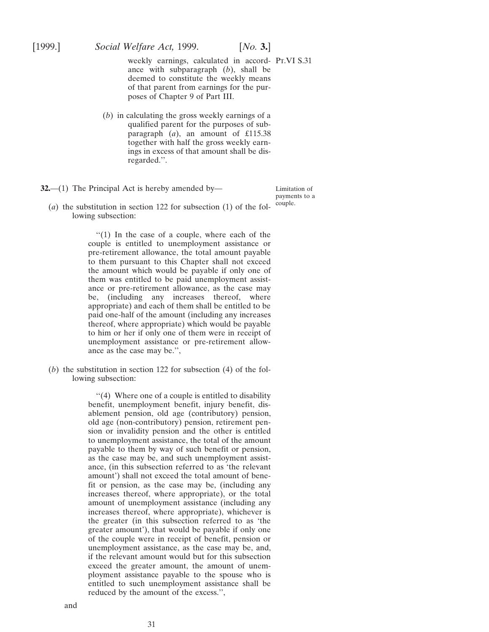<span id="page-30-0"></span>

weekly earnings, calculated in accord- Pt.VI S.31 ance with subparagraph (*b*), shall be deemed to constitute the weekly means of that parent from earnings for the purposes of Chapter 9 of Part III.

(*b*) in calculating the gross weekly earnings of a qualified parent for the purposes of subparagraph (*a*), an amount of £115.38 together with half the gross weekly earnings in excess of that amount shall be disregarded.''.

**32.**—(1) The Principal Act is hereby amended by—

Limitation of payments to a couple.

(*a*) the substitution in section 122 for subsection (1) of the following subsection:

> ''(1) In the case of a couple, where each of the couple is entitled to unemployment assistance or pre-retirement allowance, the total amount payable to them pursuant to this Chapter shall not exceed the amount which would be payable if only one of them was entitled to be paid unemployment assistance or pre-retirement allowance, as the case may be, (including any increases thereof, where appropriate) and each of them shall be entitled to be paid one-half of the amount (including any increases thereof, where appropriate) which would be payable to him or her if only one of them were in receipt of unemployment assistance or pre-retirement allowance as the case may be.'',

(*b*) the substitution in section 122 for subsection (4) of the following subsection:

> ''(4) Where one of a couple is entitled to disability benefit, unemployment benefit, injury benefit, disablement pension, old age (contributory) pension, old age (non-contributory) pension, retirement pension or invalidity pension and the other is entitled to unemployment assistance, the total of the amount payable to them by way of such benefit or pension, as the case may be, and such unemployment assistance, (in this subsection referred to as 'the relevant amount') shall not exceed the total amount of benefit or pension, as the case may be, (including any increases thereof, where appropriate), or the total amount of unemployment assistance (including any increases thereof, where appropriate), whichever is the greater (in this subsection referred to as 'the greater amount'), that would be payable if only one of the couple were in receipt of benefit, pension or unemployment assistance, as the case may be, and, if the relevant amount would but for this subsection exceed the greater amount, the amount of unemployment assistance payable to the spouse who is entitled to such unemployment assistance shall be reduced by the amount of the excess.'',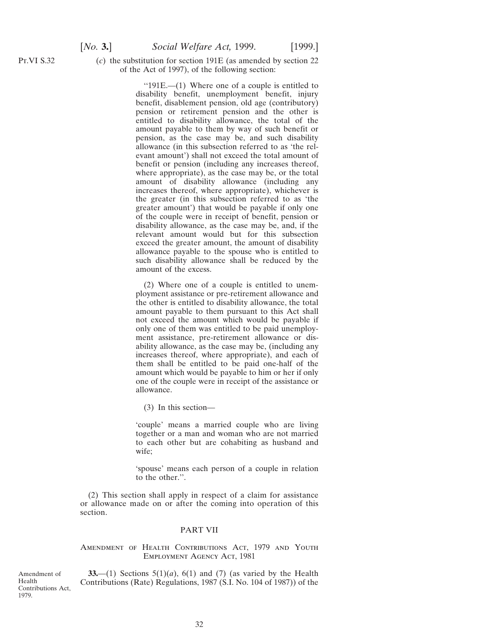<span id="page-31-0"></span>Pt.VI S.32

(*c*) the substitution for section 191E (as amended by section 22 of the Act of 1997), of the following section:

> ''191E.—(1) Where one of a couple is entitled to disability benefit, unemployment benefit, injury benefit, disablement pension, old age (contributory) pension or retirement pension and the other is entitled to disability allowance, the total of the amount payable to them by way of such benefit or pension, as the case may be, and such disability allowance (in this subsection referred to as 'the relevant amount') shall not exceed the total amount of benefit or pension (including any increases thereof, where appropriate), as the case may be, or the total amount of disability allowance (including any increases thereof, where appropriate), whichever is the greater (in this subsection referred to as 'the greater amount') that would be payable if only one of the couple were in receipt of benefit, pension or disability allowance, as the case may be, and, if the relevant amount would but for this subsection exceed the greater amount, the amount of disability allowance payable to the spouse who is entitled to such disability allowance shall be reduced by the amount of the excess.

> (2) Where one of a couple is entitled to unemployment assistance or pre-retirement allowance and the other is entitled to disability allowance, the total amount payable to them pursuant to this Act shall not exceed the amount which would be payable if only one of them was entitled to be paid unemployment assistance, pre-retirement allowance or disability allowance, as the case may be, (including any increases thereof, where appropriate), and each of them shall be entitled to be paid one-half of the amount which would be payable to him or her if only one of the couple were in receipt of the assistance or allowance.

(3) In this section—

'couple' means a married couple who are living together or a man and woman who are not married to each other but are cohabiting as husband and wife;

'spouse' means each person of a couple in relation to the other.''.

(2) This section shall apply in respect of a claim for assistance or allowance made on or after the coming into operation of this section.

#### PART VII

#### Amendment of Health Contributions Act, 1979 and Youth EMPLOYMENT AGENCY ACT, 1981

Amendment of Health Contributions Act, 1979.

**33.**—(1) Sections  $5(1)(a)$ ,  $6(1)$  and (7) (as varied by the Health Contributions (Rate) Regulations, 1987 (S.I. No. 104 of 1987)) of the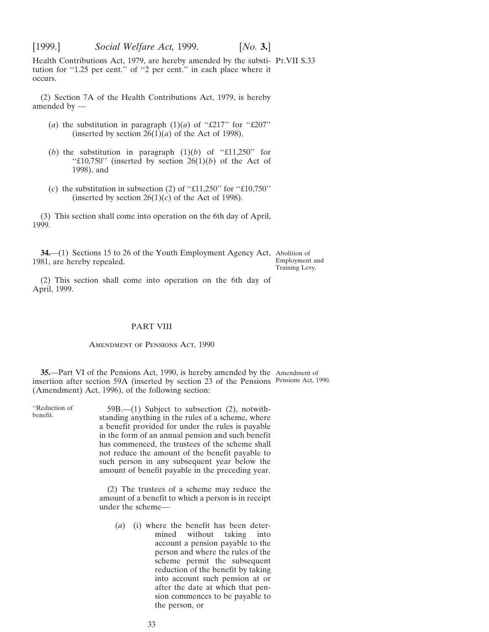<span id="page-32-0"></span>Health Contributions Act, 1979, are hereby amended by the substi- Pt.VII S.33 tution for "1.25 per cent." of "2 per cent." in each place where it occurs.

(2) Section 7A of the Health Contributions Act, 1979, is hereby amended by —

- (*a*) the substitution in paragraph  $(1)(a)$  of "£217" for "£207" (inserted by section  $26(1)(a)$  of the Act of 1998),
- (*b*) the substitution in paragraph  $(1)(b)$  of "£11,250" for " $\pounds$ 10,750" (inserted by section 26(1)(*b*) of the Act of 1998), and
- (c) the substitution in subsection (2) of " $\pounds$ 11,250" for " $\pounds$ 10,750" (inserted by section  $26(1)(c)$  of the Act of 1998).

(3) This section shall come into operation on the 6th day of April, 1999.

**34.**—(1) Sections 15 to 26 of the Youth Employment Agency Act, Abolition of 1981, are hereby repealed. Employment and Training Levy.

(2) This section shall come into operation on the 6th day of April, 1999.

### PART VIII

#### Amendment of Pensions Act, 1990

**35.**—Part VI of the Pensions Act, 1990, is hereby amended by the Amendment of insertion after section 59A (inserted by section 23 of the Pensions Pensions Act, 1990.(Amendment) Act, 1996), of the following section:

"Reduction of 59B.—(1) Subject to subsection (2), notwith-<br>benefit. standing anything in the rules of a scheme, where a benefit provided for under the rules is payable in the form of an annual pension and such benefit has commenced, the trustees of the scheme shall not reduce the amount of the benefit payable to such person in any subsequent year below the amount of benefit payable in the preceding year.

> (2) The trustees of a scheme may reduce the amount of a benefit to which a person is in receipt under the scheme—

(*a*) (i) where the benefit has been determined without taking into account a pension payable to the person and where the rules of the scheme permit the subsequent reduction of the benefit by taking into account such pension at or after the date at which that pension commences to be payable to the person, or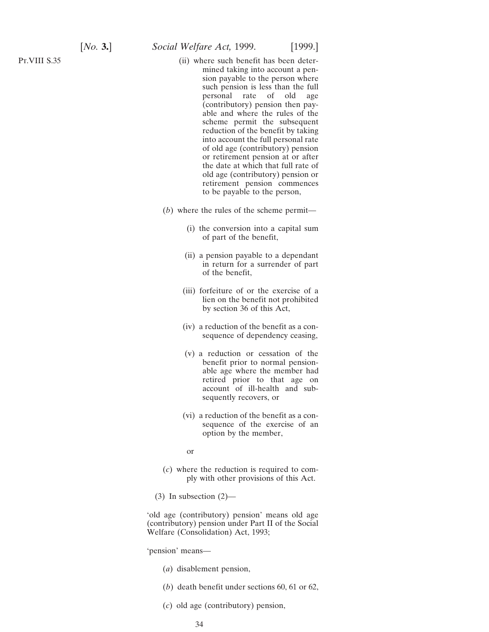Pt.VIII S.35

# [*No.* **3.**] *Social Welfare Act,* 1999. [1999.]

- 
- (ii) where such benefit has been determined taking into account a pension payable to the person where such pension is less than the full personal rate of old age (contributory) pension then payable and where the rules of the scheme permit the subsequent reduction of the benefit by taking into account the full personal rate of old age (contributory) pension or retirement pension at or after the date at which that full rate of old age (contributory) pension or retirement pension commences to be payable to the person,
- (*b*) where the rules of the scheme permit—
	- (i) the conversion into a capital sum of part of the benefit,
	- (ii) a pension payable to a dependant in return for a surrender of part of the benefit,
	- (iii) forfeiture of or the exercise of a lien on the benefit not prohibited by section 36 of this Act,
	- (iv) a reduction of the benefit as a consequence of dependency ceasing,
	- (v) a reduction or cessation of the benefit prior to normal pensionable age where the member had retired prior to that age on account of ill-health and subsequently recovers, or
	- (vi) a reduction of the benefit as a consequence of the exercise of an option by the member,

or

- (*c*) where the reduction is required to comply with other provisions of this Act.
- (3) In subsection  $(2)$ —

'old age (contributory) pension' means old age (contributory) pension under Part II of the Social Welfare (Consolidation) Act, 1993;

'pension' means—

- (*a*) disablement pension,
- (*b*) death benefit under sections 60, 61 or 62,
- (*c*) old age (contributory) pension,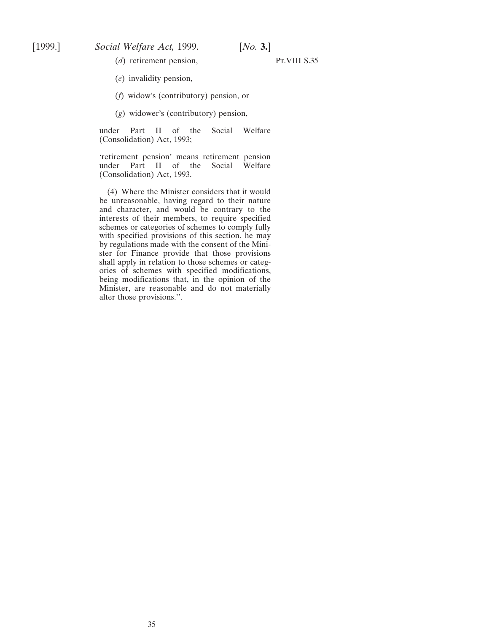- (*d*) retirement pension, PT.VIII S.35
- (*e*) invalidity pension,
- (*f*) widow's (contributory) pension, or
- (*g*) widower's (contributory) pension,

under Part II of the Social Welfare (Consolidation) Act, 1993;

'retirement pension' means retirement pension under Part II of the Social Welfare (Consolidation) Act, 1993.

(4) Where the Minister considers that it would be unreasonable, having regard to their nature and character, and would be contrary to the interests of their members, to require specified schemes or categories of schemes to comply fully with specified provisions of this section, he may by regulations made with the consent of the Minister for Finance provide that those provisions shall apply in relation to those schemes or categories of schemes with specified modifications, being modifications that, in the opinion of the Minister, are reasonable and do not materially alter those provisions.''.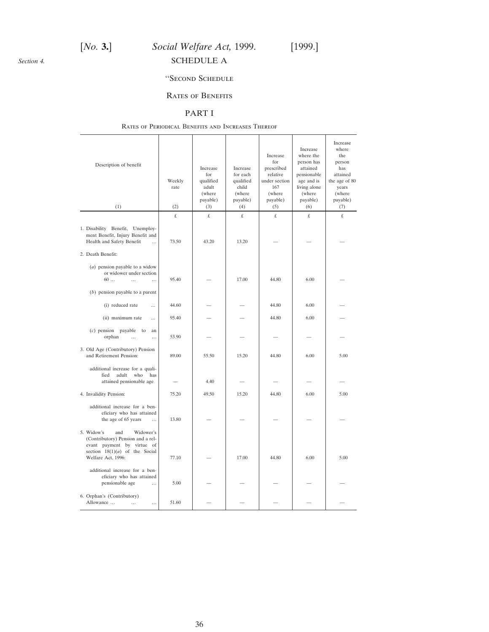# SCHEDULE A

# <span id="page-35-0"></span>*Section 4.*

# ''Second Schedule

# Rates of Benefits

# PART I

#### Rates of Periodical Benefits and Increases Thereof

| Description of benefit                                                                                                                                      | Weekly<br>rate | Increase<br>for<br>qualified<br>adult<br>(where<br>payable) | Increase<br>for each<br>qualified<br>child<br>(where)<br>payable) | Increase<br>for<br>prescribed<br>relative<br>under section<br>167<br>(where<br>payable) | Increase<br>where the<br>person has<br>attained<br>pensionable<br>age and is<br>living alone<br>(where<br>payable) | Increase<br>where<br>the<br>person<br>has<br>attained<br>the age of 80<br>years<br>(where<br>payable) |
|-------------------------------------------------------------------------------------------------------------------------------------------------------------|----------------|-------------------------------------------------------------|-------------------------------------------------------------------|-----------------------------------------------------------------------------------------|--------------------------------------------------------------------------------------------------------------------|-------------------------------------------------------------------------------------------------------|
| (1)                                                                                                                                                         | (2)            | (3)                                                         | (4)                                                               | (5)                                                                                     | (6)                                                                                                                | (7)                                                                                                   |
| 1. Disability Benefit, Unemploy-<br>ment Benefit, Injury Benefit and<br>Health and Safety Benefit<br>$\cdots$                                               | £<br>73.50     | $\pounds$<br>43.20                                          | £<br>13.20                                                        | $\pounds$                                                                               | £                                                                                                                  | £                                                                                                     |
| 2. Death Benefit:                                                                                                                                           |                |                                                             |                                                                   |                                                                                         |                                                                                                                    |                                                                                                       |
| $(a)$ pension payable to a widow<br>or widower under section<br>60<br>$\sim 100$<br>$\ddotsc$<br>$(b)$ pension payable to a parent                          | 95.40          |                                                             | 17.00                                                             | 44.80                                                                                   | 6.00                                                                                                               |                                                                                                       |
| (i) reduced rate<br>$\cdots$                                                                                                                                | 44.60          |                                                             |                                                                   | 44.80                                                                                   | 6.00                                                                                                               |                                                                                                       |
| (ii) maximum rate<br>$\ddotsc$                                                                                                                              | 95.40          |                                                             |                                                                   | 44.80                                                                                   | 6.00                                                                                                               |                                                                                                       |
| $(c)$ pension payable<br>to<br>an<br>orphan<br>$\cdots$<br>$\cdots$                                                                                         | 53.90          |                                                             |                                                                   |                                                                                         |                                                                                                                    |                                                                                                       |
| 3. Old Age (Contributory) Pension<br>and Retirement Pension:                                                                                                | 89.00          | 55.50                                                       | 15.20                                                             | 44.80                                                                                   | 6.00                                                                                                               | 5.00                                                                                                  |
| additional increase for a quali-<br>adult<br>fied<br>who<br>has<br>attained pensionable age                                                                 |                | 4.40                                                        |                                                                   |                                                                                         |                                                                                                                    |                                                                                                       |
| 4. Invalidity Pension:                                                                                                                                      | 75.20          | 49.50                                                       | 15.20                                                             | 44.80                                                                                   | 6.00                                                                                                               | 5.00                                                                                                  |
| additional increase for a ben-<br>eficiary who has attained<br>the age of 65 years<br>$\cdots$                                                              | 13.80          |                                                             |                                                                   |                                                                                         |                                                                                                                    |                                                                                                       |
| 5. Widow's<br>and<br>Widower's<br>(Contributory) Pension and a rel-<br>evant payment by virtue of<br>section $18(1)(a)$ of the Social<br>Welfare Act, 1996: | 77.10          |                                                             | 17.00                                                             | 44.80                                                                                   | 6.00                                                                                                               | 5.00                                                                                                  |
| additional increase for a ben-<br>eficiary who has attained<br>pensionable age<br>$\cdots$                                                                  | 5.00           |                                                             |                                                                   |                                                                                         |                                                                                                                    |                                                                                                       |
| 6. Orphan's (Contributory)<br>Allowance<br>$\cdots$<br>$\cdots$                                                                                             | 51.60          |                                                             |                                                                   |                                                                                         |                                                                                                                    |                                                                                                       |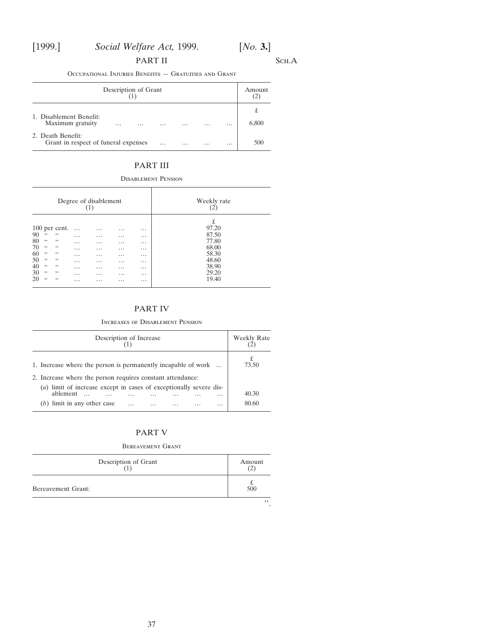# PART II SCH.A

Occupational Injuries Benefits — Gratuities and Grant

| Description of Grant                                                |          |          |          |          |            |  |
|---------------------------------------------------------------------|----------|----------|----------|----------|------------|--|
| 1. Disablement Benefit:<br>Maximum gratuity<br>$\cdots$<br>$\cdots$ |          | $\cdots$ | $\cdots$ | $\cdots$ | £<br>6,800 |  |
| 2. Death Benefit:<br>Grant in respect of funeral expenses           | $\cdots$ | $\cdots$ | $\cdots$ | $\cdots$ | 500        |  |

## PART III

Disablement Pension

| Degree of disablement<br>(1)           |                                          |                                                         |                                                                                              |                                                                                |                                                                               | Weekly rate                                                                           |                                                                           |
|----------------------------------------|------------------------------------------|---------------------------------------------------------|----------------------------------------------------------------------------------------------|--------------------------------------------------------------------------------|-------------------------------------------------------------------------------|---------------------------------------------------------------------------------------|---------------------------------------------------------------------------|
| 90<br>80<br>70<br>60<br>50<br>40<br>30 | ,,<br>, ,<br>,,<br>,,<br>,,<br>, ,<br>,, | 100 per cent.<br>,,<br>,,<br>,,<br>,,<br>,,<br>,,<br>,, | $\cdots$<br>$\cdots$<br>$\cdots$<br>$\cdots$<br>$\cdots$<br>$\cdots$<br>$\cdots$<br>$\cdots$ | .<br>$\cdots$<br>.<br>$\cdots$<br>$\cdots$<br>$\cdots$<br>$\cdots$<br>$\cdots$ | $\cdots$<br>.<br><br>$\cdots$<br>$\cdots$<br>$\cdots$<br>$\cdots$<br>$\cdots$ | $\cdots$<br>$\cdots$<br>.<br>$\cdots$<br>$\cdots$<br>$\cdots$<br>$\cdots$<br>$\cdots$ | £<br>97.20<br>87.50<br>77.80<br>68.00<br>58.30<br>48.60<br>38.90<br>29.20 |
|                                        | ,,                                       | ,,                                                      | $\cdots$                                                                                     | $\cdots$                                                                       | $\cdots$                                                                      | $\cdots$                                                                              | 19.40                                                                     |

# PART IV

#### Increases of Disablement Pension

| Description of Increase                                                                    | Weekly Rate |
|--------------------------------------------------------------------------------------------|-------------|
| 1. Increase where the person is permanently incapable of work                              | 73.50       |
| 2. Increase where the person requires constant attendance:                                 |             |
| (a) limit of increase except in cases of exceptionally severe dis-<br>ablement<br>$\cdots$ | 40.30       |
| $(b)$ limit in any other case<br>.                                                         | 80.60       |

# PART V

#### Bereavement Grant

| Description of Grant | Amount<br>∠ |
|----------------------|-------------|
| Bereavement Grant:   | t<br>500    |
|                      | ,,          |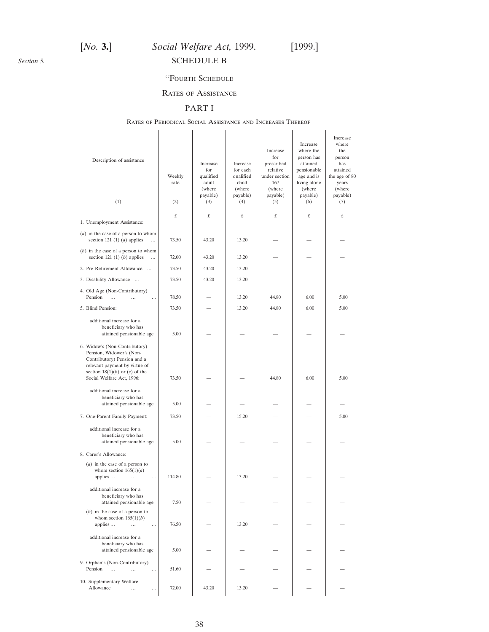<span id="page-37-0"></span>*Section 5.*

# SCHEDULE B

# ''Fourth Schedule

# Rates of Assistance

# PART I

#### Rates of Periodical Social Assistance and Increases Thereof

| Description of assistance<br>(1)                                                                                                                                                             | Weekly<br>rate<br>(2) | Increase<br>for<br>qualified<br>adult<br>(where<br>payable)<br>(3) | Increase<br>for each<br>qualified<br>child<br>(where<br>payable)<br>(4) | Increase<br>for<br>prescribed<br>relative<br>under section<br>167<br>(where<br>payable)<br>(5) | Increase<br>where the<br>person has<br>attained<br>pensionable<br>age and is<br>living alone<br>(where<br>payable)<br>(6) | Increase<br>where<br>the<br>person<br>has<br>attained<br>the age of 80<br>vears<br>(where<br>payable)<br>(7) |
|----------------------------------------------------------------------------------------------------------------------------------------------------------------------------------------------|-----------------------|--------------------------------------------------------------------|-------------------------------------------------------------------------|------------------------------------------------------------------------------------------------|---------------------------------------------------------------------------------------------------------------------------|--------------------------------------------------------------------------------------------------------------|
|                                                                                                                                                                                              | £                     | £                                                                  | £                                                                       | £                                                                                              | £                                                                                                                         | £                                                                                                            |
| 1. Unemployment Assistance:                                                                                                                                                                  |                       |                                                                    |                                                                         |                                                                                                |                                                                                                                           |                                                                                                              |
| $(a)$ in the case of a person to whom<br>section 121 (1) $(a)$ applies<br>$\cdots$                                                                                                           | 73.50                 | 43.20                                                              | 13.20                                                                   |                                                                                                |                                                                                                                           |                                                                                                              |
| $(b)$ in the case of a person to whom<br>section 121 $(1)$ $(b)$ applies<br>$\cdots$                                                                                                         | 72.00                 | 43.20                                                              | 13.20                                                                   |                                                                                                |                                                                                                                           |                                                                                                              |
| 2. Pre-Retirement Allowance                                                                                                                                                                  | 73.50                 | 43.20                                                              | 13.20                                                                   |                                                                                                |                                                                                                                           |                                                                                                              |
| 3. Disability Allowance                                                                                                                                                                      | 73.50                 | 43.20                                                              | 13.20                                                                   |                                                                                                |                                                                                                                           |                                                                                                              |
| 4. Old Age (Non-Contributory)<br>Pension<br>$\ddotsc$<br>$\ddotsc$<br>.                                                                                                                      | 78.50                 |                                                                    | 13.20                                                                   | 44.80                                                                                          | 6.00                                                                                                                      | 5.00                                                                                                         |
| 5. Blind Pension:                                                                                                                                                                            | 73.50                 |                                                                    | 13.20                                                                   | 44.80                                                                                          | 6.00                                                                                                                      | 5.00                                                                                                         |
| additional increase for a<br>beneficiary who has<br>attained pensionable age                                                                                                                 | 5.00                  |                                                                    |                                                                         |                                                                                                |                                                                                                                           |                                                                                                              |
| 6. Widow's (Non-Contributory)<br>Pension, Widower's (Non-<br>Contributory) Pension and a<br>relevant payment by virtue of<br>section $18(1)(b)$ or $(c)$ of the<br>Social Welfare Act, 1996: | 73.50                 |                                                                    |                                                                         | 44.80                                                                                          | 6.00                                                                                                                      | 5.00                                                                                                         |
| additional increase for a<br>beneficiary who has<br>attained pensionable age                                                                                                                 | 5.00                  |                                                                    |                                                                         |                                                                                                |                                                                                                                           |                                                                                                              |
| 7. One-Parent Family Payment:                                                                                                                                                                | 73.50                 |                                                                    | 15.20                                                                   |                                                                                                |                                                                                                                           | 5.00                                                                                                         |
| additional increase for a<br>beneficiary who has<br>attained pensionable age                                                                                                                 | 5.00                  |                                                                    |                                                                         |                                                                                                |                                                                                                                           |                                                                                                              |
| 8. Carer's Allowance:                                                                                                                                                                        |                       |                                                                    |                                                                         |                                                                                                |                                                                                                                           |                                                                                                              |
| $(a)$ in the case of a person to<br>whom section $165(1)(a)$<br>applies<br>$\cdots$<br>$\cdots$                                                                                              | 114.80                |                                                                    | 13.20                                                                   |                                                                                                |                                                                                                                           |                                                                                                              |
| additional increase for a<br>beneficiary who has<br>attained pensionable age                                                                                                                 | 7.50                  |                                                                    |                                                                         |                                                                                                |                                                                                                                           |                                                                                                              |
| $(b)$ in the case of a person to<br>whom section $165(1)(b)$<br>applies<br>$\ldots$<br>$\cdots$                                                                                              | 76.50                 |                                                                    | 13.20                                                                   |                                                                                                |                                                                                                                           |                                                                                                              |
| additional increase for a<br>beneficiary who has<br>attained pensionable age                                                                                                                 | 5.00                  |                                                                    |                                                                         |                                                                                                |                                                                                                                           |                                                                                                              |
| 9. Orphan's (Non-Contributory)<br>Pension<br>$\cdots$<br>$\cdots$<br>$\cdots$                                                                                                                | 51.60                 |                                                                    |                                                                         |                                                                                                |                                                                                                                           |                                                                                                              |
| 10. Supplementary Welfare<br>Allowance<br>$\cdots$<br>                                                                                                                                       | 72.00                 | 43.20                                                              | 13.20                                                                   |                                                                                                |                                                                                                                           |                                                                                                              |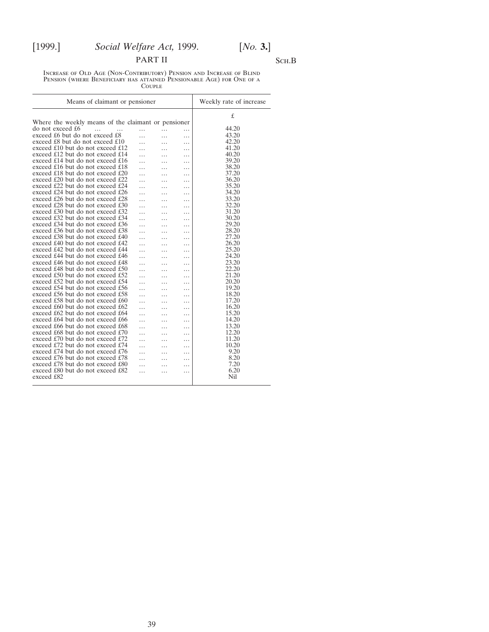# PART II SCH.B

Increase of Old Age (Non-Contributory) Pension and Increase of Blind Pension (where Beneficiary has attained Pensionable Age) for One of a Couple

| Means of claimant or pensioner                      | Weekly rate of increase |   |          |       |
|-----------------------------------------------------|-------------------------|---|----------|-------|
|                                                     |                         |   |          | £     |
| Where the weekly means of the claimant or pensioner |                         |   |          |       |
| do not exceed £6<br>$\cdots$<br>$\cdots$            | .                       | . | .        | 44.20 |
| exceed £6 but do not exceed £8                      | .                       | . | $\cdots$ | 43.20 |
| exceed £8 but do not exceed £10                     |                         | . | .        | 42.20 |
| exceed £10 but do not exceed £12                    |                         | . | .        | 41.20 |
| exceed £12 but do not exceed £14                    | .                       | . | .        | 40.20 |
| exceed £14 but do not exceed £16                    |                         | . | .        | 39.20 |
| exceed £16 but do not exceed £18                    | .                       | . |          | 38.20 |
| exceed £18 but do not exceed £20                    |                         |   | .        | 37.20 |
| exceed £20 but do not exceed £22                    |                         | . | .        | 36.20 |
| exceed £22 but do not exceed £24                    | .                       | . | .        | 35.20 |
|                                                     | .                       | . | .        |       |
| exceed £24 but do not exceed £26                    |                         | . | .        | 34.20 |
| exceed £26 but do not exceed £28                    | .                       | . | .        | 33.20 |
| exceed £28 but do not exceed £30                    |                         | . | .        | 32.20 |
| exceed £30 but do not exceed £32                    | .                       | . | .        | 31.20 |
| exceed £32 but do not exceed £34                    |                         | . | .        | 30.20 |
| exceed £34 but do not exceed £36                    | .                       | . | .        | 29.20 |
| exceed £36 but do not exceed £38                    |                         | . | .        | 28.20 |
| exceed £38 but do not exceed £40                    |                         | . | .        | 27.20 |
| exceed £40 but do not exceed £42                    | .                       | . | .        | 26.20 |
| exceed £42 but do not exceed £44                    |                         | . | .        | 25.20 |
| exceed £44 but do not exceed £46                    | .                       | . | .        | 24.20 |
| exceed £46 but do not exceed £48                    |                         | . | .        | 23.20 |
| exceed £48 but do not exceed £50                    |                         |   |          | 22.20 |
| exceed £50 but do not exceed £52                    |                         |   | .        | 21.20 |
| exceed £52 but do not exceed £54                    |                         | . | .        | 20.20 |
| exceed £54 but do not exceed £56                    |                         |   | .        | 19.20 |
|                                                     | .                       | . | .        |       |
| exceed £56 but do not exceed £58                    |                         | . | .        | 18.20 |
| exceed £58 but do not exceed £60                    | .                       | . | .        | 17.20 |
| exceed £60 but do not exceed £62                    |                         | . | .        | 16.20 |
| exceed £62 but do not exceed £64                    | .                       | . | .        | 15.20 |
| exceed £64 but do not exceed £66                    | .                       | . | .        | 14.20 |
| exceed £66 but do not exceed £68                    |                         | . | .        | 13.20 |
| exceed £68 but do not exceed £70                    | .                       | . | .        | 12.20 |
| exceed £70 but do not exceed £72                    |                         | . | .        | 11.20 |
| exceed £72 but do not exceed £74                    | $\cdots$                | . | .        | 10.20 |
| exceed £74 but do not exceed £76                    |                         | . | .        | 9.20  |
| exceed £76 but do not exceed £78                    | $\cdots$                |   |          | 8.20  |
| exceed £78 but do not exceed £80                    |                         | . | .        | 7.20  |
| exceed £80 but do not exceed £82                    | .                       | . | .        | 6.20  |
| exceed £82                                          | .                       | . | .        | Nil   |
|                                                     |                         |   |          |       |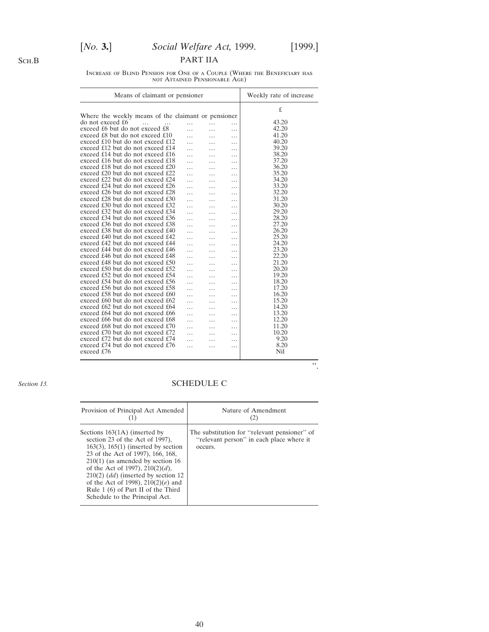# [*No.* **3.**] *Social Welfare Act,* 1999. [1999.]

PART IIA

Increase of Blind Pension for One of a Couple (Where the Beneficiary has not Attained Pensionable Age)

| Means of claimant or pensioner                      |        |   |               | Weekly rate of increase |
|-----------------------------------------------------|--------|---|---------------|-------------------------|
|                                                     |        |   |               | £                       |
| Where the weekly means of the claimant or pensioner |        |   |               |                         |
| do not exceed £6<br>$\cdots$                        | .      | . | .             | 43.20                   |
| exceed £6 but do not exceed £8                      | .      | . | .             | 42.20                   |
| exceed $\pounds 8$ but do not exceed $\pounds 10$   | .      | . | .             | 41.20                   |
| exceed £10 but do not exceed £12                    | .      | . | .             | 40.20                   |
| exceed £12 but do not exceed £14                    | .      | . | .             | 39.20                   |
| exceed £14 but do not exceed £16                    | .      | . | .             | 38.20                   |
| exceed £16 but do not exceed £18                    | .      | . | .             | 37.20                   |
| exceed £18 but do not exceed £20                    | .      | . | .             | 36.20                   |
| exceed $£20$ but do not exceed £22                  | .      | . | .             | 35.20                   |
| exceed £22 but do not exceed £24                    | .      |   | .             | 34.20                   |
| exceed £24 but do not exceed £26                    | .      | . | .             | 33.20                   |
| exceed £26 but do not exceed £28                    | .      | . | .             | 32.20                   |
| exceed £28 but do not exceed £30                    |        |   | .             | 31.20                   |
| exceed £30 but do not exceed £32                    | .      | . | .             | 30.20                   |
| exceed £32 but do not exceed £34                    | .      | . | .             | 29.20                   |
| exceed £34 but do not exceed £36                    | .      | . | .             | 28.20                   |
| exceed £36 but do not exceed £38                    | .      | . | .             | 27.20                   |
| exceed £38 but do not exceed £40                    | .      | . | .             | 26.20                   |
| exceed £40 but do not exceed £42                    |        |   | .             | 25.20                   |
| exceed £42 but do not exceed £44                    |        | . | .             | 24.20                   |
| exceed £44 but do not exceed £46                    | .      | . | .             | 23.20                   |
| exceed £46 but do not exceed £48                    |        | . | .             | 22.20                   |
| exceed £48 but do not exceed £50                    | .      | . | .             | 21.20                   |
| exceed £50 but do not exceed £52                    | .      | . | .             | 20.20                   |
| exceed £52 but do not exceed £54                    | .      | . | .             | 19.20                   |
| exceed £54 but do not exceed £56                    | .      | . | .             | 18.20                   |
| exceed £56 but do not exceed £58                    | .      | . | .             | 17.20                   |
| exceed £58 but do not exceed £60                    | .      | . | $\cdots$      | 16.20                   |
| exceed £60 but do not exceed £62                    |        |   |               | 15.20                   |
| exceed £62 but do not exceed £64                    |        |   | .             | 14.20                   |
| exceed £64 but do not exceed £66                    | .<br>. | . | .<br>$\cdots$ | 13.20                   |
| exceed £66 but do not exceed £68                    |        | . |               | 12.20                   |
| exceed £68 but do not exceed $£70$                  |        | . | .             | 11.20                   |
| exceed £70 but do not exceed £72                    | .      | . | .             | 10.20                   |
| exceed £72 but do not exceed £74                    | .      | . | $\cdots$      | 9.20                    |
| exceed £74 but do not exceed £76                    | .      | . | .             | 8.20                    |
| exceed £76                                          | .      | . | .             | Nil                     |

*Section 13.*

# SCHEDULE C

| Provision of Principal Act Amended                                                                                                                                                                                                                                                                                                                                                                  | Nature of Amendment<br>(2)                                                                          |
|-----------------------------------------------------------------------------------------------------------------------------------------------------------------------------------------------------------------------------------------------------------------------------------------------------------------------------------------------------------------------------------------------------|-----------------------------------------------------------------------------------------------------|
| Sections $163(1A)$ (inserted by<br>section 23 of the Act of 1997),<br>$163(3)$ , $165(1)$ (inserted by section<br>23 of the Act of 1997), 166, 168,<br>$210(1)$ (as amended by section 16)<br>of the Act of 1997), $210(2)(d)$ ,<br>$210(2)$ ( <i>dd</i> ) (inserted by section 12<br>of the Act of 1998), $210(2)(e)$ and<br>Rule $1(6)$ of Part II of the Third<br>Schedule to the Principal Act. | The substitution for "relevant pensioner" of<br>"relevant person" in each place where it<br>occurs. |

<span id="page-39-0"></span>Sch.B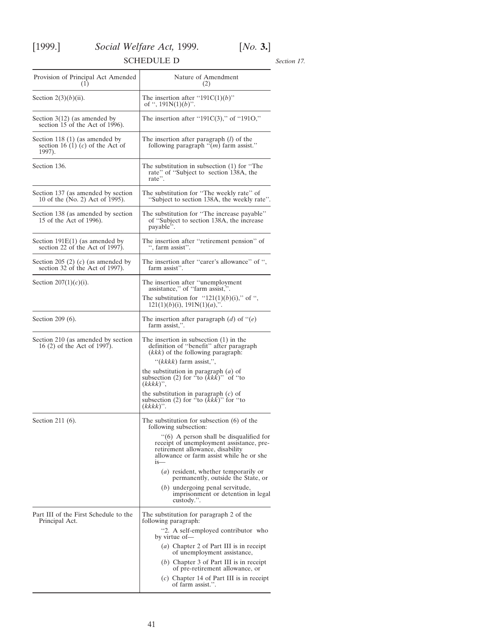<span id="page-40-0"></span>

SCHEDULE D

*Section 17.*

| Provision of Principal Act Amended<br>(1)                                     | Nature of Amendment<br>(2)                                                                                                                                                   |
|-------------------------------------------------------------------------------|------------------------------------------------------------------------------------------------------------------------------------------------------------------------------|
| Section $2(3)(b)(ii)$ .                                                       | The insertion after "191 $C(1)(b)$ "<br>of ", $191N(1)(b)$ ".                                                                                                                |
| Section $3(12)$ (as amended by<br>section 15 of the Act of 1996).             | The insertion after "191C(3)," of "191O,"                                                                                                                                    |
| Section $118(1)$ (as amended by<br>section 16 (1) (c) of the Act of<br>1997). | The insertion after paragraph $(l)$ of the<br>following paragraph " $(m)$ farm assist."                                                                                      |
| Section 136.                                                                  | The substitution in subsection (1) for "The<br>rate" of "Subject to section 138A, the<br>rate".                                                                              |
| Section 137 (as amended by section<br>10 of the (No. 2) Act of 1995).         | The substitution for "The weekly rate" of<br>"Subject to section 138A, the weekly rate".                                                                                     |
| Section 138 (as amended by section<br>15 of the Act of 1996).                 | The substitution for "The increase payable"<br>of "Subject to section 138A, the increase<br>payable".                                                                        |
| Section $191E(1)$ (as amended by<br>section 22 of the Act of 1997).           | The insertion after "retirement pension" of<br>", farm assist".                                                                                                              |
| Section 205 (2) $(c)$ (as amended by<br>section 32 of the Act of 1997).       | The insertion after "carer's allowance" of ",<br>farm assist".                                                                                                               |
| Section $207(1)(c)(i)$ .                                                      | The insertion after "unemployment<br>assistance," of "farm assist,".                                                                                                         |
|                                                                               | The substitution for "121(1)(b)(i)," of ",<br>$121(1)(b)(i)$ , $191N(1)(a)$ ,".                                                                                              |
| Section 209 (6).                                                              | The insertion after paragraph $(d)$ of " $(e)$ "<br>farm assist,".                                                                                                           |
| Section 210 (as amended by section<br>16 (2) of the Act of 1997).             | The insertion in subsection (1) in the<br>definition of "benefit" after paragraph<br>$(kkk)$ of the following paragraph:                                                     |
|                                                                               | " $(kkkk)$ farm assist,",                                                                                                                                                    |
|                                                                               | the substitution in paragraph $(a)$ of<br>subsection (2) for "to $(kk\bar{k})$ " of "to<br>$(kkkk)$ ",                                                                       |
|                                                                               | the substitution in paragraph $(c)$ of<br>subsection (2) for "to $(\bar{k}k\bar{k})$ " for "to<br>$(kkkk)$ ".                                                                |
| Section 211 (6).                                                              | The substitution for subsection (6) of the<br>following subsection:                                                                                                          |
|                                                                               | "(6) A person shall be disqualified for<br>receipt of unemployment assistance, pre-<br>retirement allowance, disability<br>allowance or farm assist while he or she<br>$is-$ |
|                                                                               | ( <i>a</i> ) resident, whether temporarily or                                                                                                                                |
|                                                                               | permanently, outside the State, or<br>$(b)$ undergoing penal servitude,<br>imprisonment or detention in legal<br>custody.".                                                  |
| Part III of the First Schedule to the<br>Principal Act.                       | The substitution for paragraph 2 of the<br>following paragraph:                                                                                                              |
|                                                                               | "2. A self-employed contributor who<br>by virtue of-                                                                                                                         |
|                                                                               | (a) Chapter 2 of Part III is in receipt<br>of unemployment assistance,                                                                                                       |
|                                                                               | $(b)$ Chapter 3 of Part III is in receipt<br>of pre-retirement allowance, or                                                                                                 |
|                                                                               | $(c)$ Chapter 14 of Part III is in receipt<br>of farm assist.".                                                                                                              |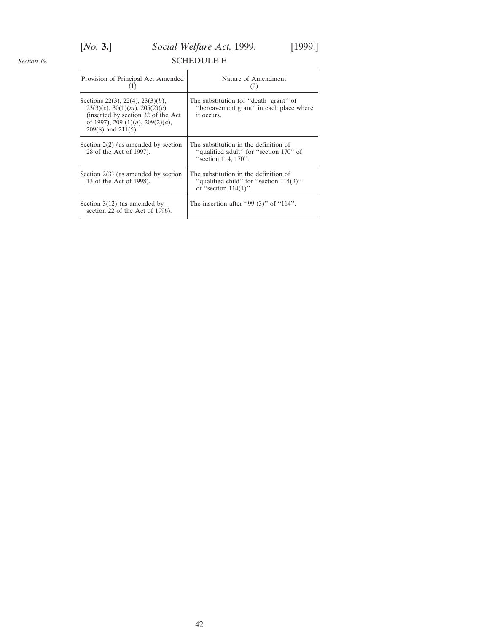# [*No.* **3.**] *Social Welfare Act,* 1999. [1999.]

# SCHEDULE E

| Provision of Principal Act Amended<br>(1)                                                                                                                                                       | Nature of Amendment<br>(2)                                                                                 |
|-------------------------------------------------------------------------------------------------------------------------------------------------------------------------------------------------|------------------------------------------------------------------------------------------------------------|
| Sections 22(3), 22(4), 23(3)( <i>b</i> ),<br>$23(3)(c)$ , $30(1)(m)$ , $205(2)(c)$<br>(inserted by section 32 of the Act)<br>of 1997), 209 $(1)(a)$ , 209 $(2)(a)$ ,<br>$209(8)$ and $211(5)$ . | The substitution for "death grant" of<br>"bereavement grant" in each place where<br>it occurs.             |
| Section $2(2)$ (as amended by section<br>28 of the Act of 1997).                                                                                                                                | The substitution in the definition of<br>"qualified adult" for "section 170" of<br>"section 114, 170".     |
| Section $2(3)$ (as amended by section<br>13 of the Act of 1998).                                                                                                                                | The substitution in the definition of<br>"qualified child" for "section 114(3)"<br>of "section $114(1)$ ". |
| Section $3(12)$ (as amended by<br>section 22 of the Act of 1996).                                                                                                                               | The insertion after "99 $(3)$ " of "114".                                                                  |

<span id="page-41-0"></span>*Section 19.*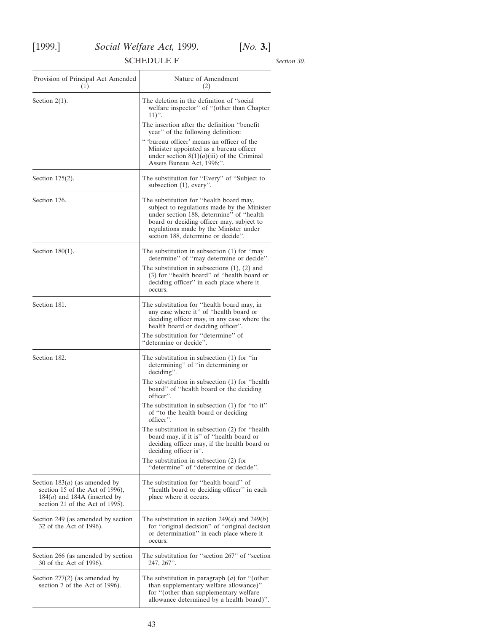<span id="page-42-0"></span>

SCHEDULE F

*Section 30.*

| Provision of Principal Act Amended<br>(1)                                                                                                 | Nature of Amendment<br>(2)                                                                                                                                                                                                                                      |
|-------------------------------------------------------------------------------------------------------------------------------------------|-----------------------------------------------------------------------------------------------------------------------------------------------------------------------------------------------------------------------------------------------------------------|
| Section $2(1)$ .                                                                                                                          | The deletion in the definition of "social"<br>welfare inspector" of "(other than Chapter<br>$11)$ ".                                                                                                                                                            |
|                                                                                                                                           | The insertion after the definition "benefit<br>year" of the following definition:                                                                                                                                                                               |
|                                                                                                                                           | " 'bureau officer' means an officer of the<br>Minister appointed as a bureau officer<br>under section $8(1)(a)(iii)$ of the Criminal<br>Assets Bureau Act, 1996;".                                                                                              |
| Section $175(2)$ .                                                                                                                        | The substitution for "Every" of "Subject to<br>subsection (1), every".                                                                                                                                                                                          |
| Section 176.                                                                                                                              | The substitution for "health board may,<br>subject to regulations made by the Minister<br>under section 188, determine" of "health<br>board or deciding officer may, subject to<br>regulations made by the Minister under<br>section 188, determine or decide". |
| Section $180(1)$ .                                                                                                                        | The substitution in subsection $(1)$ for "may"<br>determine" of "may determine or decide".                                                                                                                                                                      |
|                                                                                                                                           | The substitution in subsections $(1)$ , $(2)$ and<br>(3) for "health board" of "health board or<br>deciding officer" in each place where it<br>occurs.                                                                                                          |
| Section 181.                                                                                                                              | The substitution for "health board may, in<br>any case where it" of "health board or<br>deciding officer may, in any case where the<br>health board or deciding officer".                                                                                       |
|                                                                                                                                           | The substitution for "determine" of<br>"determine or decide".                                                                                                                                                                                                   |
| Section 182.                                                                                                                              | The substitution in subsection $(1)$ for "in"<br>determining" of "in determining or<br>deciding".                                                                                                                                                               |
|                                                                                                                                           | The substitution in subsection (1) for "health"<br>board" of "health board or the deciding<br>officer".                                                                                                                                                         |
|                                                                                                                                           | The substitution in subsection $(1)$ for "to it"<br>of "to the health board or deciding<br>officer".                                                                                                                                                            |
|                                                                                                                                           | The substitution in subsection (2) for "health<br>board may, if it is" of "health board or<br>deciding officer may, if the health board or<br>deciding officer is".                                                                                             |
|                                                                                                                                           | The substitution in subsection $(2)$ for<br>"determine" of "determine or decide".                                                                                                                                                                               |
| Section $183(a)$ (as amended by<br>section 15 of the Act of 1996),<br>$184(a)$ and $184A$ (inserted by<br>section 21 of the Act of 1995). | The substitution for "health board" of<br>"health board or deciding officer" in each<br>place where it occurs.                                                                                                                                                  |
| Section 249 (as amended by section<br>32 of the Act of 1996).                                                                             | The substitution in section $249(a)$ and $249(b)$<br>for "original decision" of "original decision<br>or determination" in each place where it<br>occurs.                                                                                                       |
| Section 266 (as amended by section<br>30 of the Act of 1996).                                                                             | The substitution for "section 267" of "section"<br>247, 267".                                                                                                                                                                                                   |
| Section $277(2)$ (as amended by<br>section 7 of the Act of 1996).                                                                         | The substitution in paragraph $(a)$ for "(other<br>than supplementary welfare allowance)"<br>for "(other than supplementary welfare<br>allowance determined by a health board)".                                                                                |